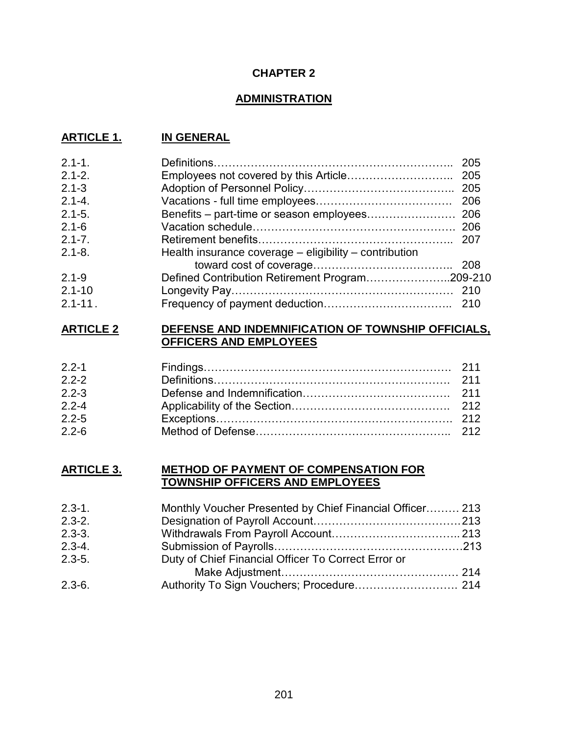# **CHAPTER 2**

# **ADMINISTRATION**

# **ARTICLE 1. IN GENERAL**

| $2.1 - 1.$  | 205                                                    |  |
|-------------|--------------------------------------------------------|--|
| $2.1 - 2.$  |                                                        |  |
| $2.1 - 3$   |                                                        |  |
| $2.1 - 4.$  |                                                        |  |
| $2.1 - 5.$  |                                                        |  |
| $2.1 - 6$   |                                                        |  |
| $2.1 - 7.$  |                                                        |  |
| $2.1 - 8.$  | Health insurance coverage – eligibility – contribution |  |
|             |                                                        |  |
| $2.1 - 9$   | Defined Contribution Retirement Program209-210         |  |
| $2.1 - 10$  |                                                        |  |
| $2.1 - 11.$ |                                                        |  |

#### **ARTICLE 2 DEFENSE AND INDEMNIFICATION OF TOWNSHIP OFFICIALS, OFFICERS AND EMPLOYEES**

# **ARTICLE 3. METHOD OF PAYMENT OF COMPENSATION FOR TOWNSHIP OFFICERS AND EMPLOYEES**

| $2.3 - 1.$ | Monthly Voucher Presented by Chief Financial Officer 213 |  |
|------------|----------------------------------------------------------|--|
| $2.3 - 2.$ |                                                          |  |
| $2.3 - 3.$ |                                                          |  |
| $2.3 - 4.$ |                                                          |  |
| $2.3 - 5.$ | Duty of Chief Financial Officer To Correct Error or      |  |
|            |                                                          |  |
| $2.3 - 6.$ | Authority To Sign Vouchers; Procedure 214                |  |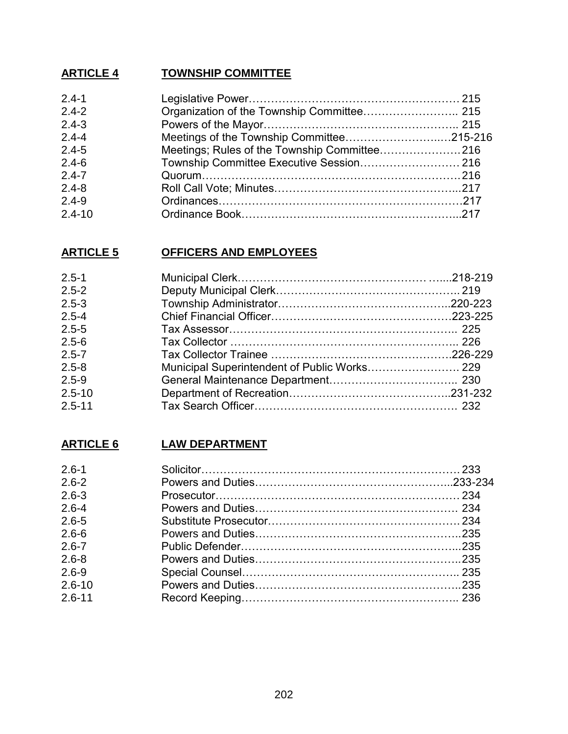# **ARTICLE 4 TOWNSHIP COMMITTEE**

| $2.4 - 1$  |                                          |  |
|------------|------------------------------------------|--|
| $2.4 - 2$  |                                          |  |
| $2.4 - 3$  |                                          |  |
| $2.4 - 4$  |                                          |  |
| $2.4 - 5$  |                                          |  |
| $2.4 - 6$  | Township Committee Executive Session 216 |  |
| $2.4 - 7$  |                                          |  |
| $2.4 - 8$  |                                          |  |
| $2.4 - 9$  |                                          |  |
| $2.4 - 10$ |                                          |  |

# **ARTICLE 5 OFFICERS AND EMPLOYEES**

| $2.5 - 1$  |                                              |  |
|------------|----------------------------------------------|--|
| $2.5 - 2$  |                                              |  |
| $2.5 - 3$  |                                              |  |
| $2.5 - 4$  |                                              |  |
| $2.5 - 5$  |                                              |  |
| $2.5 - 6$  |                                              |  |
| $2.5 - 7$  |                                              |  |
| $2.5 - 8$  | Municipal Superintendent of Public Works 229 |  |
| $2.5 - 9$  |                                              |  |
| $2.5 - 10$ |                                              |  |
| $2.5 - 11$ |                                              |  |

# **ARTICLE 6 LAW DEPARTMENT**

| $2.6 - 1$  |  |
|------------|--|
| $2.6 - 2$  |  |
| $2.6 - 3$  |  |
| $2.6 - 4$  |  |
| $2.6 - 5$  |  |
| $2.6 - 6$  |  |
| $2.6 - 7$  |  |
| $2.6 - 8$  |  |
| $2.6 - 9$  |  |
| $2.6 - 10$ |  |
| $2.6 - 11$ |  |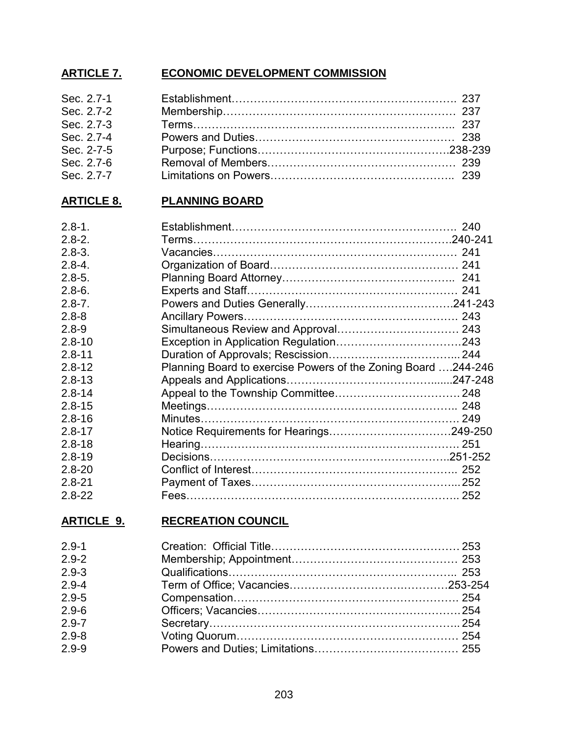# **ARTICLE 7. ECONOMIC DEVELOPMENT COMMISSION**

| Sec. 2.7-1 |  |
|------------|--|
| Sec. 2.7-2 |  |
| Sec. 2.7-3 |  |
| Sec. 2.7-4 |  |
| Sec. 2-7-5 |  |
| Sec. 2.7-6 |  |
| Sec. 2.7-7 |  |

# **ARTICLE 8. PLANNING BOARD**

| $2.8 - 1.$ |                                                               |  |
|------------|---------------------------------------------------------------|--|
| $2.8 - 2.$ |                                                               |  |
| $2.8 - 3.$ |                                                               |  |
| $2.8 - 4.$ |                                                               |  |
| $2.8 - 5.$ |                                                               |  |
| $2.8 - 6.$ |                                                               |  |
| $2.8 - 7.$ |                                                               |  |
| $2.8 - 8$  |                                                               |  |
| $2.8 - 9$  |                                                               |  |
| $2.8 - 10$ |                                                               |  |
| $2.8 - 11$ |                                                               |  |
| $2.8 - 12$ | Planning Board to exercise Powers of the Zoning Board 244-246 |  |
| $2.8 - 13$ |                                                               |  |
| $2.8 - 14$ |                                                               |  |
| $2.8 - 15$ |                                                               |  |
| $2.8 - 16$ |                                                               |  |
| $2.8 - 17$ |                                                               |  |
| $2.8 - 18$ |                                                               |  |
| $2.8 - 19$ |                                                               |  |
| $2.8 - 20$ |                                                               |  |
| $2.8 - 21$ |                                                               |  |
| $2.8 - 22$ |                                                               |  |

# **ARTICLE 9. RECREATION COUNCIL**

| $2.9 - 1$ |  |
|-----------|--|
| $2.9 - 2$ |  |
| $2.9 - 3$ |  |
| $2.9 - 4$ |  |
| $2.9 - 5$ |  |
| $2.9 - 6$ |  |
| $2.9 - 7$ |  |
| $2.9 - 8$ |  |
| $2.9 - 9$ |  |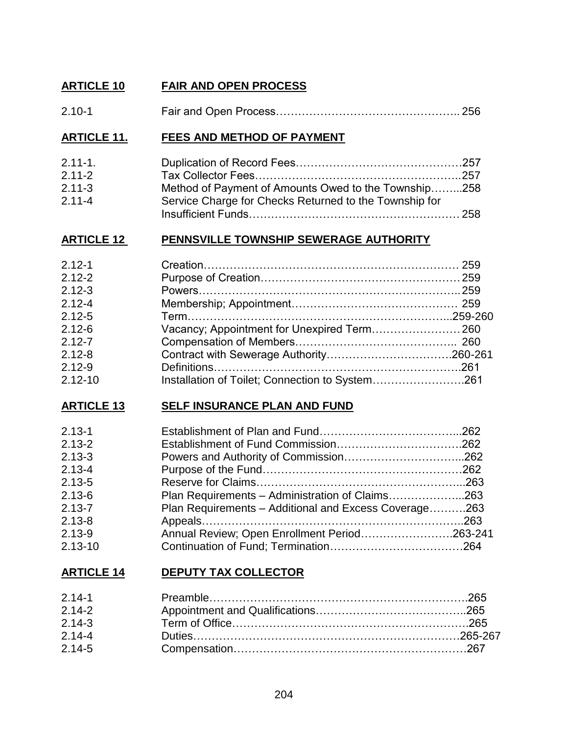# **ARTICLE 10 FAIR AND OPEN PROCESS**

| $2.10 - 1$ |  |
|------------|--|
|            |  |

# **ARTICLE 11. FEES AND METHOD OF PAYMENT**

| $2.11 - 1.$ |                                                        |  |
|-------------|--------------------------------------------------------|--|
| $2.11 - 2$  |                                                        |  |
| $2.11 - 3$  | Method of Payment of Amounts Owed to the Township258   |  |
| $2.11 - 4$  | Service Charge for Checks Returned to the Township for |  |
|             |                                                        |  |

# **ARTICLE 12 PENNSVILLE TOWNSHIP SEWERAGE AUTHORITY**

| $2.12 - 1$  |                                                 |  |
|-------------|-------------------------------------------------|--|
| $2.12 - 2$  |                                                 |  |
| $2.12 - 3$  |                                                 |  |
| $2.12 - 4$  |                                                 |  |
| $2.12 - 5$  |                                                 |  |
| $2.12 - 6$  |                                                 |  |
| $2.12 - 7$  |                                                 |  |
| $2.12 - 8$  |                                                 |  |
| $2.12 - 9$  |                                                 |  |
| $2.12 - 10$ | Installation of Toilet; Connection to System261 |  |
|             |                                                 |  |

# **ARTICLE 13 SELF INSURANCE PLAN AND FUND**

| $2.13 - 1$  |                                                       |  |
|-------------|-------------------------------------------------------|--|
| $2.13 - 2$  |                                                       |  |
| $2.13 - 3$  |                                                       |  |
| $2.13 - 4$  |                                                       |  |
| $2.13 - 5$  |                                                       |  |
| $2.13 - 6$  | Plan Requirements - Administration of Claims263       |  |
| $2.13 - 7$  | Plan Requirements - Additional and Excess Coverage263 |  |
| $2.13 - 8$  |                                                       |  |
| $2.13 - 9$  | Annual Review; Open Enrollment Period263-241          |  |
| $2.13 - 10$ |                                                       |  |

# **ARTICLE 14 DEPUTY TAX COLLECTOR**

| $2.14 - 1$ |  |
|------------|--|
| $2.14 - 2$ |  |
| $2.14 - 3$ |  |
| $2.14 - 4$ |  |
| $2.14 - 5$ |  |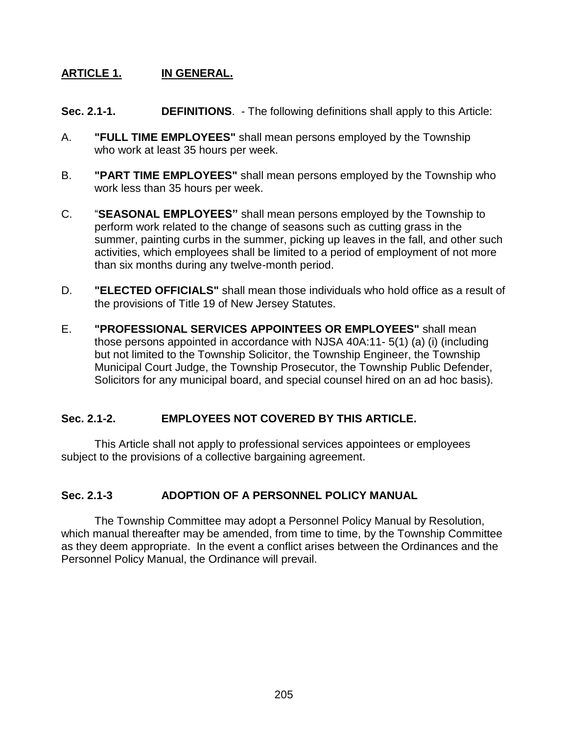# **ARTICLE 1. IN GENERAL.**

- **Sec. 2.1-1. DEFINITIONS**. The following definitions shall apply to this Article:
- A. **"FULL TIME EMPLOYEES"** shall mean persons employed by the Township who work at least 35 hours per week.
- B. **"PART TIME EMPLOYEES"** shall mean persons employed by the Township who work less than 35 hours per week.
- C. "**SEASONAL EMPLOYEES"** shall mean persons employed by the Township to perform work related to the change of seasons such as cutting grass in the summer, painting curbs in the summer, picking up leaves in the fall, and other such activities, which employees shall be limited to a period of employment of not more than six months during any twelve-month period.
- D. **"ELECTED OFFICIALS"** shall mean those individuals who hold office as a result of the provisions of Title 19 of New Jersey Statutes.
- E. **"PROFESSIONAL SERVICES APPOINTEES OR EMPLOYEES"** shall mean those persons appointed in accordance with NJSA 40A:11- 5(1) (a) (i) (including but not limited to the Township Solicitor, the Township Engineer, the Township Municipal Court Judge, the Township Prosecutor, the Township Public Defender, Solicitors for any municipal board, and special counsel hired on an ad hoc basis).

# **Sec. 2.1-2. EMPLOYEES NOT COVERED BY THIS ARTICLE.**

This Article shall not apply to professional services appointees or employees subject to the provisions of a collective bargaining agreement.

# **Sec. 2.1-3 ADOPTION OF A PERSONNEL POLICY MANUAL**

The Township Committee may adopt a Personnel Policy Manual by Resolution, which manual thereafter may be amended, from time to time, by the Township Committee as they deem appropriate. In the event a conflict arises between the Ordinances and the Personnel Policy Manual, the Ordinance will prevail.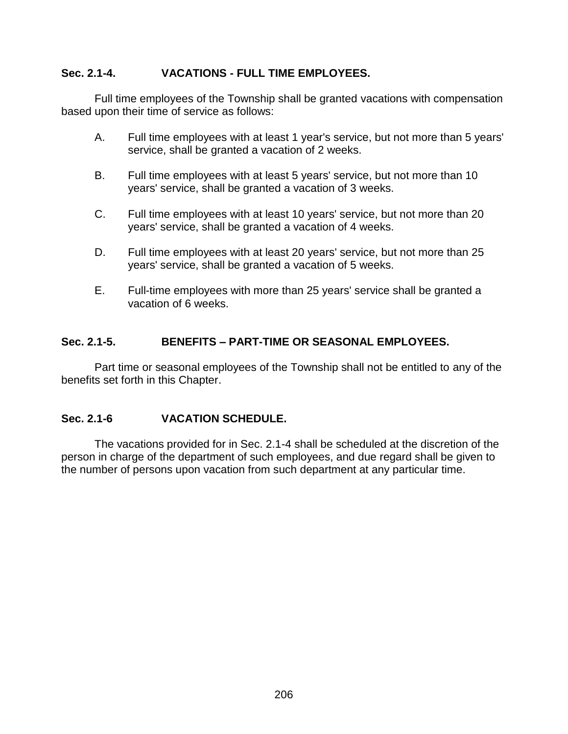### **Sec. 2.1-4. VACATIONS - FULL TIME EMPLOYEES.**

Full time employees of the Township shall be granted vacations with compensation based upon their time of service as follows:

- A. Full time employees with at least 1 year's service, but not more than 5 years' service, shall be granted a vacation of 2 weeks.
- B. Full time employees with at least 5 years' service, but not more than 10 years' service, shall be granted a vacation of 3 weeks.
- C. Full time employees with at least 10 years' service, but not more than 20 years' service, shall be granted a vacation of 4 weeks.
- D. Full time employees with at least 20 years' service, but not more than 25 years' service, shall be granted a vacation of 5 weeks.
- E. Full-time employees with more than 25 years' service shall be granted a vacation of 6 weeks.

### **Sec. 2.1-5. BENEFITS – PART-TIME OR SEASONAL EMPLOYEES.**

Part time or seasonal employees of the Township shall not be entitled to any of the benefits set forth in this Chapter.

# **Sec. 2.1-6 VACATION SCHEDULE.**

The vacations provided for in Sec. 2.1-4 shall be scheduled at the discretion of the person in charge of the department of such employees, and due regard shall be given to the number of persons upon vacation from such department at any particular time.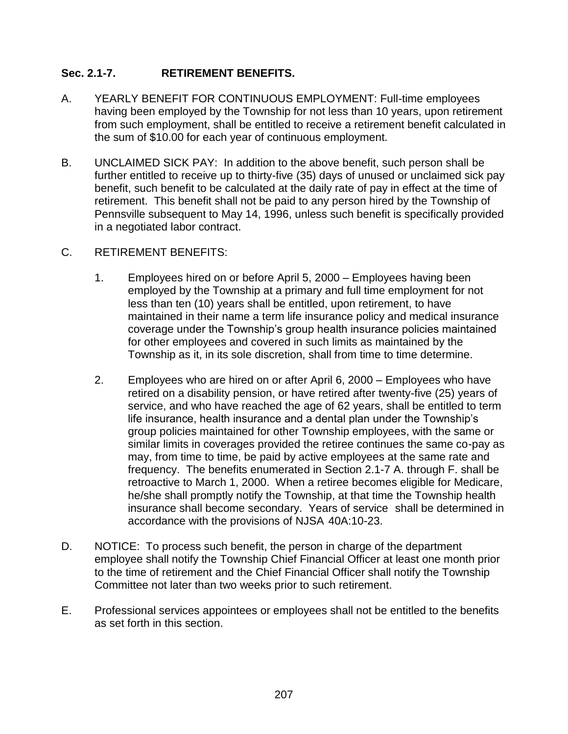# **Sec. 2.1-7. RETIREMENT BENEFITS.**

- A. YEARLY BENEFIT FOR CONTINUOUS EMPLOYMENT: Full-time employees having been employed by the Township for not less than 10 years, upon retirement from such employment, shall be entitled to receive a retirement benefit calculated in the sum of \$10.00 for each year of continuous employment.
- B. UNCLAIMED SICK PAY: In addition to the above benefit, such person shall be further entitled to receive up to thirty-five (35) days of unused or unclaimed sick pay benefit, such benefit to be calculated at the daily rate of pay in effect at the time of retirement. This benefit shall not be paid to any person hired by the Township of Pennsville subsequent to May 14, 1996, unless such benefit is specifically provided in a negotiated labor contract.

### C. RETIREMENT BENEFITS:

- 1. Employees hired on or before April 5, 2000 Employees having been employed by the Township at a primary and full time employment for not less than ten (10) years shall be entitled, upon retirement, to have maintained in their name a term life insurance policy and medical insurance coverage under the Township's group health insurance policies maintained for other employees and covered in such limits as maintained by the Township as it, in its sole discretion, shall from time to time determine.
- 2. Employees who are hired on or after April 6, 2000 Employees who have retired on a disability pension, or have retired after twenty-five (25) years of service, and who have reached the age of 62 years, shall be entitled to term life insurance, health insurance and a dental plan under the Township's group policies maintained for other Township employees, with the same or similar limits in coverages provided the retiree continues the same co-pay as may, from time to time, be paid by active employees at the same rate and frequency. The benefits enumerated in Section 2.1-7 A. through F. shall be retroactive to March 1, 2000. When a retiree becomes eligible for Medicare, he/she shall promptly notify the Township, at that time the Township health insurance shall become secondary. Years of service shall be determined in accordance with the provisions of NJSA 40A:10-23.
- D. NOTICE: To process such benefit, the person in charge of the department employee shall notify the Township Chief Financial Officer at least one month prior to the time of retirement and the Chief Financial Officer shall notify the Township Committee not later than two weeks prior to such retirement.
- E. Professional services appointees or employees shall not be entitled to the benefits as set forth in this section.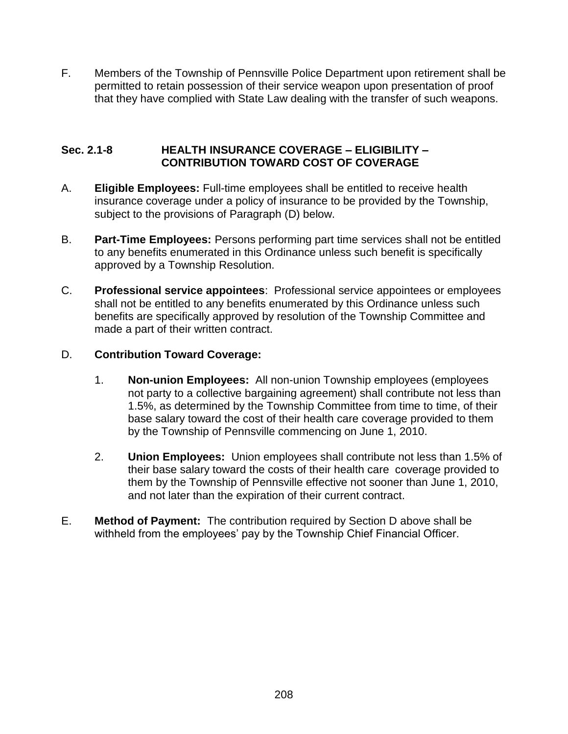F. Members of the Township of Pennsville Police Department upon retirement shall be permitted to retain possession of their service weapon upon presentation of proof that they have complied with State Law dealing with the transfer of such weapons.

### **Sec. 2.1-8 HEALTH INSURANCE COVERAGE – ELIGIBILITY – CONTRIBUTION TOWARD COST OF COVERAGE**

- A. **Eligible Employees:** Full-time employees shall be entitled to receive health insurance coverage under a policy of insurance to be provided by the Township, subject to the provisions of Paragraph (D) below.
- B. **Part-Time Employees:** Persons performing part time services shall not be entitled to any benefits enumerated in this Ordinance unless such benefit is specifically approved by a Township Resolution.
- C. **Professional service appointees**: Professional service appointees or employees shall not be entitled to any benefits enumerated by this Ordinance unless such benefits are specifically approved by resolution of the Township Committee and made a part of their written contract.

# D. **Contribution Toward Coverage:**

- 1. **Non-union Employees:** All non-union Township employees (employees not party to a collective bargaining agreement) shall contribute not less than 1.5%, as determined by the Township Committee from time to time, of their base salary toward the cost of their health care coverage provided to them by the Township of Pennsville commencing on June 1, 2010.
- 2. **Union Employees:** Union employees shall contribute not less than 1.5% of their base salary toward the costs of their health care coverage provided to them by the Township of Pennsville effective not sooner than June 1, 2010, and not later than the expiration of their current contract.
- E. **Method of Payment:** The contribution required by Section D above shall be withheld from the employees' pay by the Township Chief Financial Officer.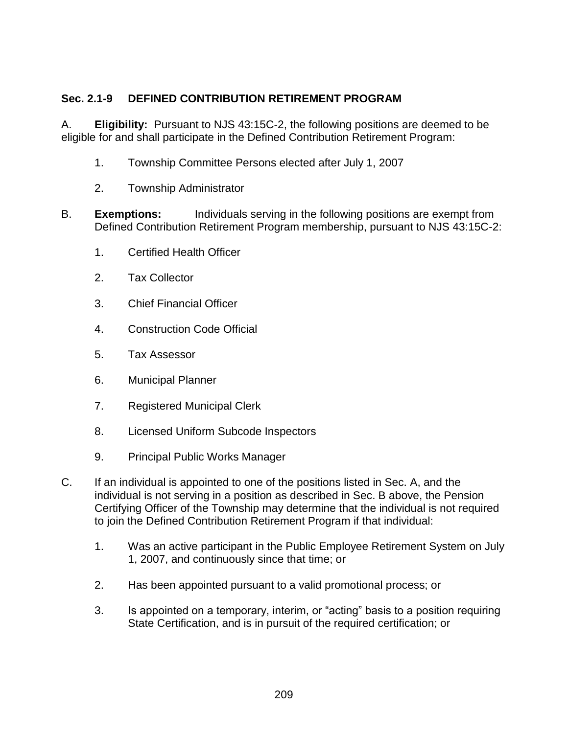# **Sec. 2.1-9 DEFINED CONTRIBUTION RETIREMENT PROGRAM**

A. **Eligibility:** Pursuant to NJS 43:15C-2, the following positions are deemed to be eligible for and shall participate in the Defined Contribution Retirement Program:

- 1. Township Committee Persons elected after July 1, 2007
- 2. Township Administrator
- B. **Exemptions:** Individuals serving in the following positions are exempt from Defined Contribution Retirement Program membership, pursuant to NJS 43:15C-2:
	- 1. Certified Health Officer
	- 2. Tax Collector
	- 3. Chief Financial Officer
	- 4. Construction Code Official
	- 5. Tax Assessor
	- 6. Municipal Planner
	- 7. Registered Municipal Clerk
	- 8. Licensed Uniform Subcode Inspectors
	- 9. Principal Public Works Manager
- C. If an individual is appointed to one of the positions listed in Sec. A, and the individual is not serving in a position as described in Sec. B above, the Pension Certifying Officer of the Township may determine that the individual is not required to join the Defined Contribution Retirement Program if that individual:
	- 1. Was an active participant in the Public Employee Retirement System on July 1, 2007, and continuously since that time; or
	- 2. Has been appointed pursuant to a valid promotional process; or
	- 3. Is appointed on a temporary, interim, or "acting" basis to a position requiring State Certification, and is in pursuit of the required certification; or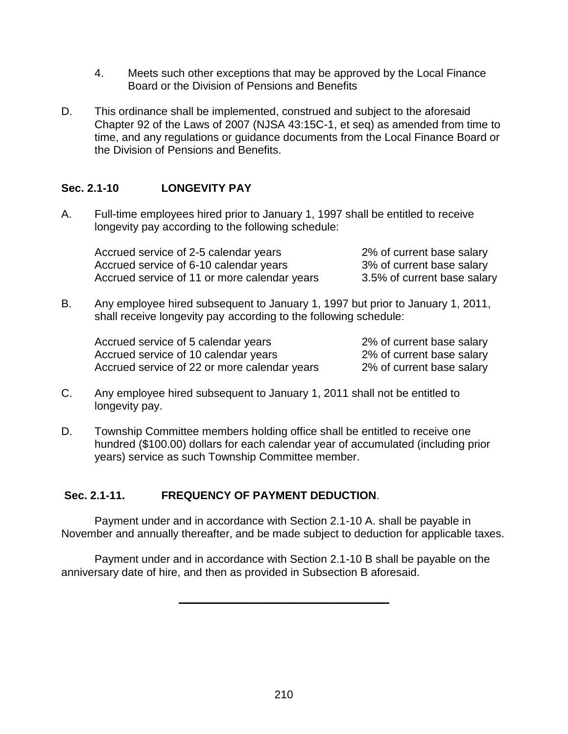- 4. Meets such other exceptions that may be approved by the Local Finance Board or the Division of Pensions and Benefits
- D. This ordinance shall be implemented, construed and subject to the aforesaid Chapter 92 of the Laws of 2007 (NJSA 43:15C-1, et seq) as amended from time to time, and any regulations or guidance documents from the Local Finance Board or the Division of Pensions and Benefits.

# **Sec. 2.1-10 LONGEVITY PAY**

A. Full-time employees hired prior to January 1, 1997 shall be entitled to receive longevity pay according to the following schedule:

| Accrued service of 2-5 calendar years        | 2% of current base salary   |
|----------------------------------------------|-----------------------------|
| Accrued service of 6-10 calendar years       | 3% of current base salary   |
| Accrued service of 11 or more calendar years | 3.5% of current base salary |

B. Any employee hired subsequent to January 1, 1997 but prior to January 1, 2011, shall receive longevity pay according to the following schedule:

| Accrued service of 5 calendar years          | 2% of current base salary |
|----------------------------------------------|---------------------------|
| Accrued service of 10 calendar years         | 2% of current base salary |
| Accrued service of 22 or more calendar years | 2% of current base salary |

- C. Any employee hired subsequent to January 1, 2011 shall not be entitled to longevity pay.
- D. Township Committee members holding office shall be entitled to receive one hundred (\$100.00) dollars for each calendar year of accumulated (including prior years) service as such Township Committee member.

### **Sec. 2.1-11. FREQUENCY OF PAYMENT DEDUCTION**.

Payment under and in accordance with Section 2.1-10 A. shall be payable in November and annually thereafter, and be made subject to deduction for applicable taxes.

Payment under and in accordance with Section 2.1-10 B shall be payable on the anniversary date of hire, and then as provided in Subsection B aforesaid.

**\_\_\_\_\_\_\_\_\_\_\_\_\_\_\_\_\_\_\_\_\_\_\_\_\_\_\_\_\_\_\_\_\_\_**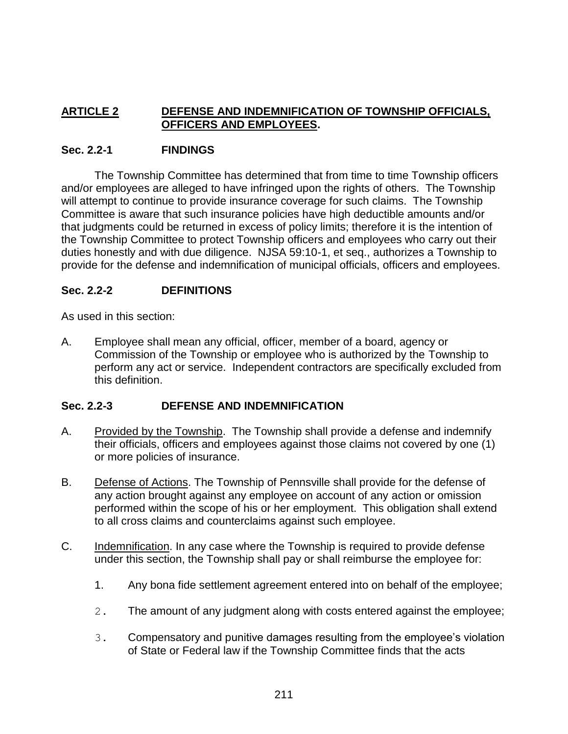# **ARTICLE 2 DEFENSE AND INDEMNIFICATION OF TOWNSHIP OFFICIALS, OFFICERS AND EMPLOYEES.**

### **Sec. 2.2-1 FINDINGS**

The Township Committee has determined that from time to time Township officers and/or employees are alleged to have infringed upon the rights of others. The Township will attempt to continue to provide insurance coverage for such claims. The Township Committee is aware that such insurance policies have high deductible amounts and/or that judgments could be returned in excess of policy limits; therefore it is the intention of the Township Committee to protect Township officers and employees who carry out their duties honestly and with due diligence. NJSA 59:10-1, et seq., authorizes a Township to provide for the defense and indemnification of municipal officials, officers and employees.

# **Sec. 2.2-2 DEFINITIONS**

As used in this section:

A. Employee shall mean any official, officer, member of a board, agency or Commission of the Township or employee who is authorized by the Township to perform any act or service. Independent contractors are specifically excluded from this definition.

#### **Sec. 2.2-3 DEFENSE AND INDEMNIFICATION**

- A. Provided by the Township. The Township shall provide a defense and indemnify their officials, officers and employees against those claims not covered by one (1) or more policies of insurance.
- B. Defense of Actions. The Township of Pennsville shall provide for the defense of any action brought against any employee on account of any action or omission performed within the scope of his or her employment. This obligation shall extend to all cross claims and counterclaims against such employee.
- C. Indemnification. In any case where the Township is required to provide defense under this section, the Township shall pay or shall reimburse the employee for:
	- 1. Any bona fide settlement agreement entered into on behalf of the employee;
	- 2. The amount of any judgment along with costs entered against the employee;
	- 3. Compensatory and punitive damages resulting from the employee's violation of State or Federal law if the Township Committee finds that the acts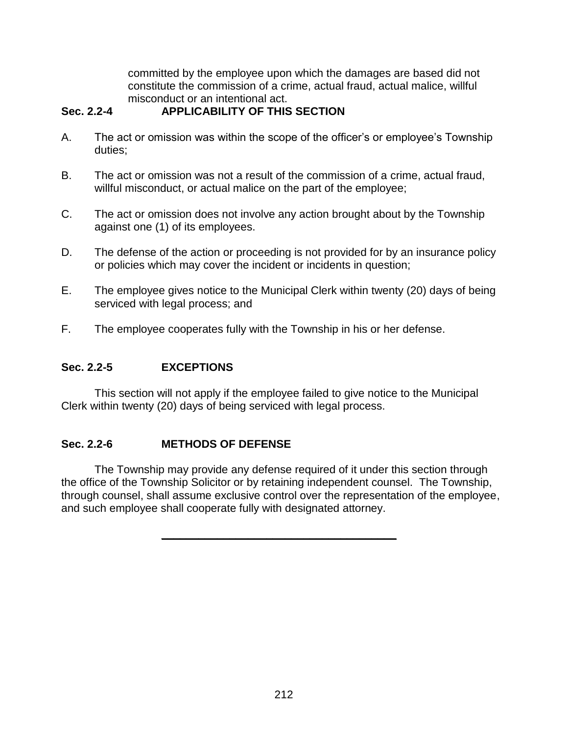committed by the employee upon which the damages are based did not constitute the commission of a crime, actual fraud, actual malice, willful misconduct or an intentional act.

# **Sec. 2.2-4 APPLICABILITY OF THIS SECTION**

- A. The act or omission was within the scope of the officer's or employee's Township duties;
- B. The act or omission was not a result of the commission of a crime, actual fraud, willful misconduct, or actual malice on the part of the employee;
- C. The act or omission does not involve any action brought about by the Township against one (1) of its employees.
- D. The defense of the action or proceeding is not provided for by an insurance policy or policies which may cover the incident or incidents in question;
- E. The employee gives notice to the Municipal Clerk within twenty (20) days of being serviced with legal process; and
- F. The employee cooperates fully with the Township in his or her defense.

# **Sec. 2.2-5 EXCEPTIONS**

This section will not apply if the employee failed to give notice to the Municipal Clerk within twenty (20) days of being serviced with legal process.

# **Sec. 2.2-6 METHODS OF DEFENSE**

The Township may provide any defense required of it under this section through the office of the Township Solicitor or by retaining independent counsel. The Township, through counsel, shall assume exclusive control over the representation of the employee, and such employee shall cooperate fully with designated attorney.

**\_\_\_\_\_\_\_\_\_\_\_\_\_\_\_\_\_\_\_\_\_\_\_\_\_\_\_\_\_\_\_\_\_\_\_\_\_\_**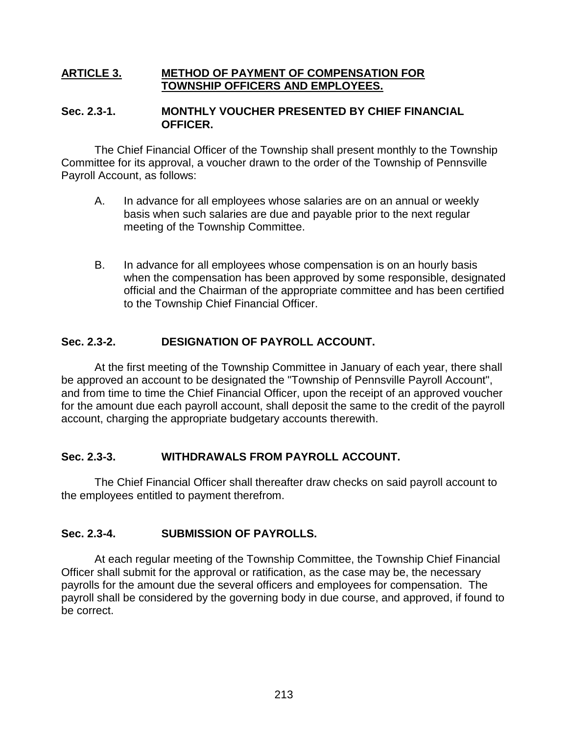#### **ARTICLE 3. METHOD OF PAYMENT OF COMPENSATION FOR TOWNSHIP OFFICERS AND EMPLOYEES.**

#### **Sec. 2.3-1. MONTHLY VOUCHER PRESENTED BY CHIEF FINANCIAL OFFICER.**

The Chief Financial Officer of the Township shall present monthly to the Township Committee for its approval, a voucher drawn to the order of the Township of Pennsville Payroll Account, as follows:

- A. In advance for all employees whose salaries are on an annual or weekly basis when such salaries are due and payable prior to the next regular meeting of the Township Committee.
- B. In advance for all employees whose compensation is on an hourly basis when the compensation has been approved by some responsible, designated official and the Chairman of the appropriate committee and has been certified to the Township Chief Financial Officer.

# **Sec. 2.3-2. DESIGNATION OF PAYROLL ACCOUNT.**

At the first meeting of the Township Committee in January of each year, there shall be approved an account to be designated the "Township of Pennsville Payroll Account", and from time to time the Chief Financial Officer, upon the receipt of an approved voucher for the amount due each payroll account, shall deposit the same to the credit of the payroll account, charging the appropriate budgetary accounts therewith.

#### **Sec. 2.3-3. WITHDRAWALS FROM PAYROLL ACCOUNT.**

The Chief Financial Officer shall thereafter draw checks on said payroll account to the employees entitled to payment therefrom.

# **Sec. 2.3-4. SUBMISSION OF PAYROLLS.**

At each regular meeting of the Township Committee, the Township Chief Financial Officer shall submit for the approval or ratification, as the case may be, the necessary payrolls for the amount due the several officers and employees for compensation. The payroll shall be considered by the governing body in due course, and approved, if found to be correct.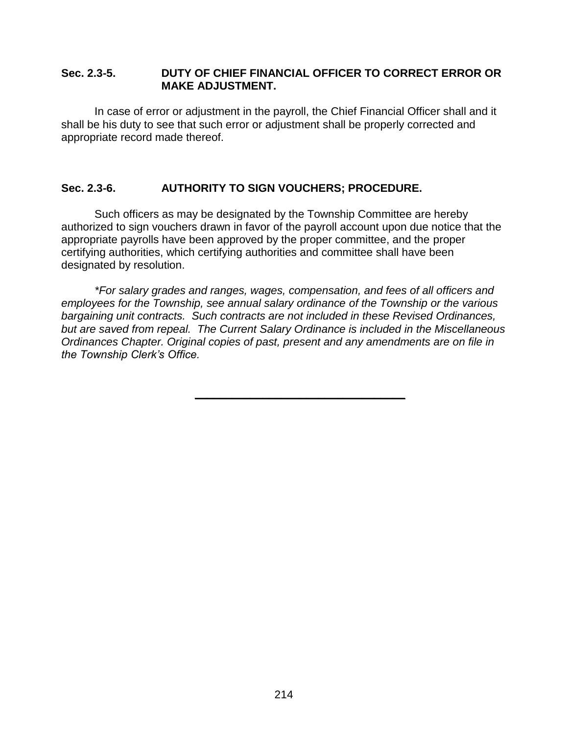#### **Sec. 2.3-5. DUTY OF CHIEF FINANCIAL OFFICER TO CORRECT ERROR OR MAKE ADJUSTMENT.**

In case of error or adjustment in the payroll, the Chief Financial Officer shall and it shall be his duty to see that such error or adjustment shall be properly corrected and appropriate record made thereof.

### **Sec. 2.3-6. AUTHORITY TO SIGN VOUCHERS; PROCEDURE.**

Such officers as may be designated by the Township Committee are hereby authorized to sign vouchers drawn in favor of the payroll account upon due notice that the appropriate payrolls have been approved by the proper committee, and the proper certifying authorities, which certifying authorities and committee shall have been designated by resolution.

*\*For salary grades and ranges, wages, compensation, and fees of all officers and employees for the Township, see annual salary ordinance of the Township or the various bargaining unit contracts. Such contracts are not included in these Revised Ordinances, but are saved from repeal. The Current Salary Ordinance is included in the Miscellaneous Ordinances Chapter. Original copies of past, present and any amendments are on file in the Township Clerk's Office.*

**\_\_\_\_\_\_\_\_\_\_\_\_\_\_\_\_\_\_\_\_\_\_\_\_\_\_\_\_\_\_\_\_\_\_**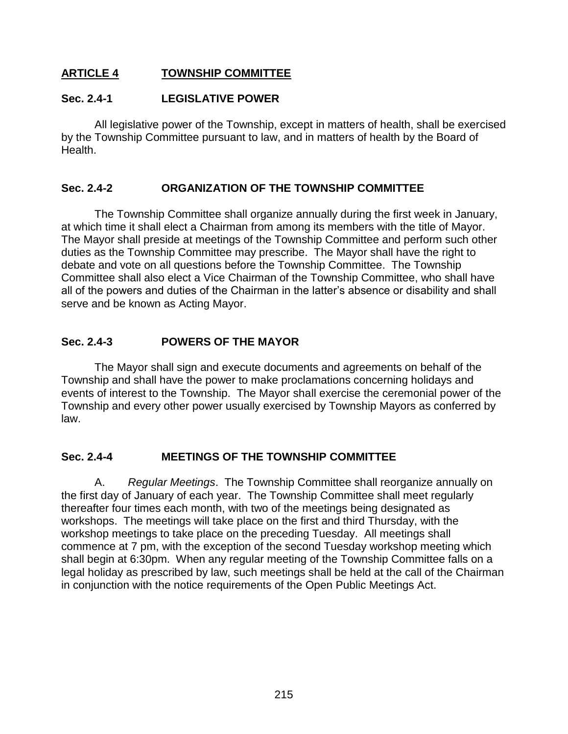# **ARTICLE 4 TOWNSHIP COMMITTEE**

#### **Sec. 2.4-1 LEGISLATIVE POWER**

All legislative power of the Township, except in matters of health, shall be exercised by the Township Committee pursuant to law, and in matters of health by the Board of Health.

#### **Sec. 2.4-2 ORGANIZATION OF THE TOWNSHIP COMMITTEE**

The Township Committee shall organize annually during the first week in January, at which time it shall elect a Chairman from among its members with the title of Mayor. The Mayor shall preside at meetings of the Township Committee and perform such other duties as the Township Committee may prescribe. The Mayor shall have the right to debate and vote on all questions before the Township Committee. The Township Committee shall also elect a Vice Chairman of the Township Committee, who shall have all of the powers and duties of the Chairman in the latter's absence or disability and shall serve and be known as Acting Mayor.

#### **Sec. 2.4-3 POWERS OF THE MAYOR**

The Mayor shall sign and execute documents and agreements on behalf of the Township and shall have the power to make proclamations concerning holidays and events of interest to the Township. The Mayor shall exercise the ceremonial power of the Township and every other power usually exercised by Township Mayors as conferred by law.

#### **Sec. 2.4-4 MEETINGS OF THE TOWNSHIP COMMITTEE**

A. *Regular Meetings*. The Township Committee shall reorganize annually on the first day of January of each year. The Township Committee shall meet regularly thereafter four times each month, with two of the meetings being designated as workshops. The meetings will take place on the first and third Thursday, with the workshop meetings to take place on the preceding Tuesday. All meetings shall commence at 7 pm, with the exception of the second Tuesday workshop meeting which shall begin at 6:30pm. When any regular meeting of the Township Committee falls on a legal holiday as prescribed by law, such meetings shall be held at the call of the Chairman in conjunction with the notice requirements of the Open Public Meetings Act.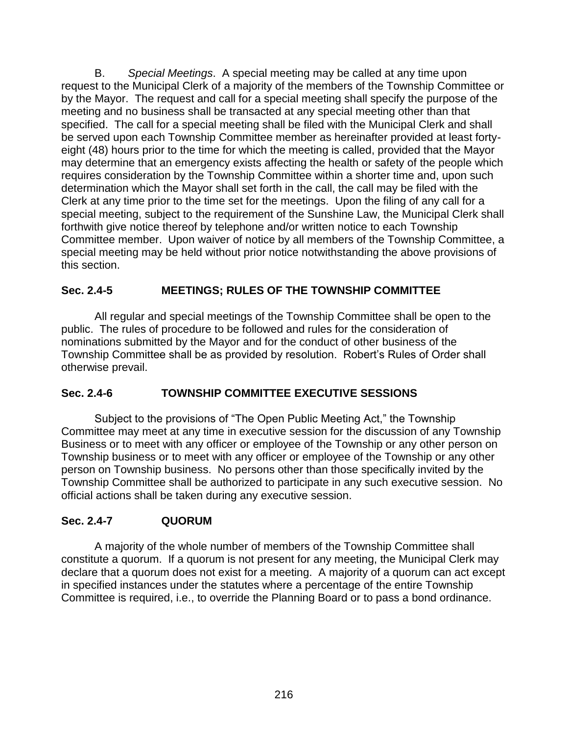B. *Special Meetings*. A special meeting may be called at any time upon request to the Municipal Clerk of a majority of the members of the Township Committee or by the Mayor. The request and call for a special meeting shall specify the purpose of the meeting and no business shall be transacted at any special meeting other than that specified. The call for a special meeting shall be filed with the Municipal Clerk and shall be served upon each Township Committee member as hereinafter provided at least fortyeight (48) hours prior to the time for which the meeting is called, provided that the Mayor may determine that an emergency exists affecting the health or safety of the people which requires consideration by the Township Committee within a shorter time and, upon such determination which the Mayor shall set forth in the call, the call may be filed with the Clerk at any time prior to the time set for the meetings. Upon the filing of any call for a special meeting, subject to the requirement of the Sunshine Law, the Municipal Clerk shall forthwith give notice thereof by telephone and/or written notice to each Township Committee member. Upon waiver of notice by all members of the Township Committee, a special meeting may be held without prior notice notwithstanding the above provisions of this section.

# **Sec. 2.4-5 MEETINGS; RULES OF THE TOWNSHIP COMMITTEE**

All regular and special meetings of the Township Committee shall be open to the public. The rules of procedure to be followed and rules for the consideration of nominations submitted by the Mayor and for the conduct of other business of the Township Committee shall be as provided by resolution. Robert's Rules of Order shall otherwise prevail.

# **Sec. 2.4-6 TOWNSHIP COMMITTEE EXECUTIVE SESSIONS**

Subject to the provisions of "The Open Public Meeting Act," the Township Committee may meet at any time in executive session for the discussion of any Township Business or to meet with any officer or employee of the Township or any other person on Township business or to meet with any officer or employee of the Township or any other person on Township business. No persons other than those specifically invited by the Township Committee shall be authorized to participate in any such executive session. No official actions shall be taken during any executive session.

# **Sec. 2.4-7 QUORUM**

A majority of the whole number of members of the Township Committee shall constitute a quorum. If a quorum is not present for any meeting, the Municipal Clerk may declare that a quorum does not exist for a meeting. A majority of a quorum can act except in specified instances under the statutes where a percentage of the entire Township Committee is required, i.e., to override the Planning Board or to pass a bond ordinance.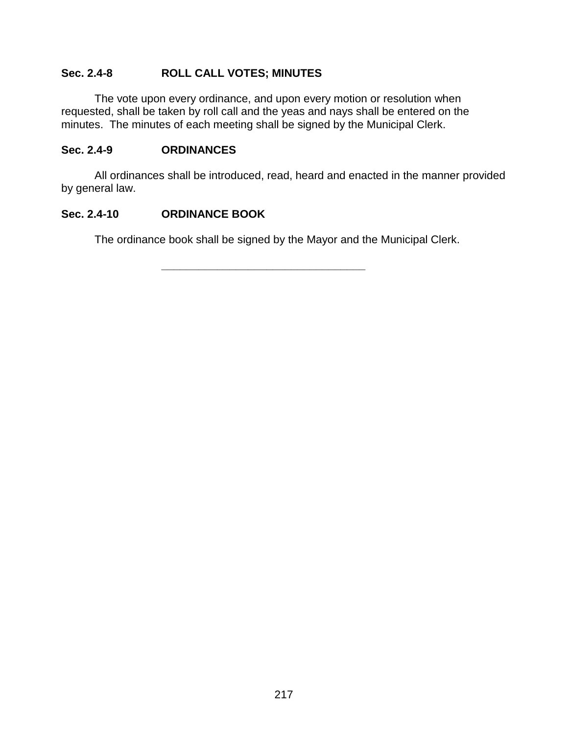# **Sec. 2.4-8 ROLL CALL VOTES; MINUTES**

The vote upon every ordinance, and upon every motion or resolution when requested, shall be taken by roll call and the yeas and nays shall be entered on the minutes. The minutes of each meeting shall be signed by the Municipal Clerk.

#### **Sec. 2.4-9 ORDINANCES**

All ordinances shall be introduced, read, heard and enacted in the manner provided by general law.

# **Sec. 2.4-10 ORDINANCE BOOK**

The ordinance book shall be signed by the Mayor and the Municipal Clerk.

**\_\_\_\_\_\_\_\_\_\_\_\_\_\_\_\_\_\_\_\_\_\_\_\_\_\_\_\_\_\_\_\_\_**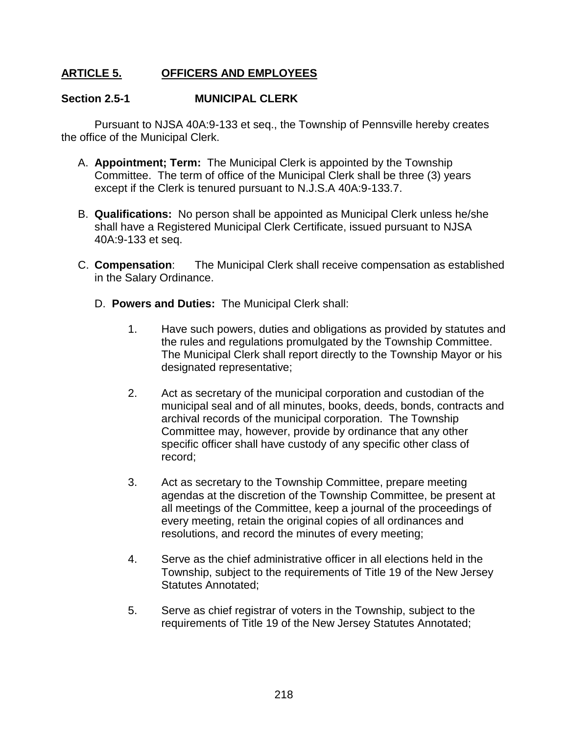# **ARTICLE 5. OFFICERS AND EMPLOYEES**

#### **Section 2.5-1 MUNICIPAL CLERK**

Pursuant to NJSA 40A:9-133 et seq., the Township of Pennsville hereby creates the office of the Municipal Clerk.

- A. **Appointment; Term:** The Municipal Clerk is appointed by the Township Committee. The term of office of the Municipal Clerk shall be three (3) years except if the Clerk is tenured pursuant to N.J.S.A 40A:9-133.7.
- B. **Qualifications:** No person shall be appointed as Municipal Clerk unless he/she shall have a Registered Municipal Clerk Certificate, issued pursuant to NJSA 40A:9-133 et seq.
- C. **Compensation**: The Municipal Clerk shall receive compensation as established in the Salary Ordinance.
	- D. **Powers and Duties:** The Municipal Clerk shall:
		- 1. Have such powers, duties and obligations as provided by statutes and the rules and regulations promulgated by the Township Committee. The Municipal Clerk shall report directly to the Township Mayor or his designated representative;
		- 2. Act as secretary of the municipal corporation and custodian of the municipal seal and of all minutes, books, deeds, bonds, contracts and archival records of the municipal corporation. The Township Committee may, however, provide by ordinance that any other specific officer shall have custody of any specific other class of record;
		- 3. Act as secretary to the Township Committee, prepare meeting agendas at the discretion of the Township Committee, be present at all meetings of the Committee, keep a journal of the proceedings of every meeting, retain the original copies of all ordinances and resolutions, and record the minutes of every meeting;
		- 4. Serve as the chief administrative officer in all elections held in the Township, subject to the requirements of Title 19 of the New Jersey Statutes Annotated;
		- 5. Serve as chief registrar of voters in the Township, subject to the requirements of Title 19 of the New Jersey Statutes Annotated;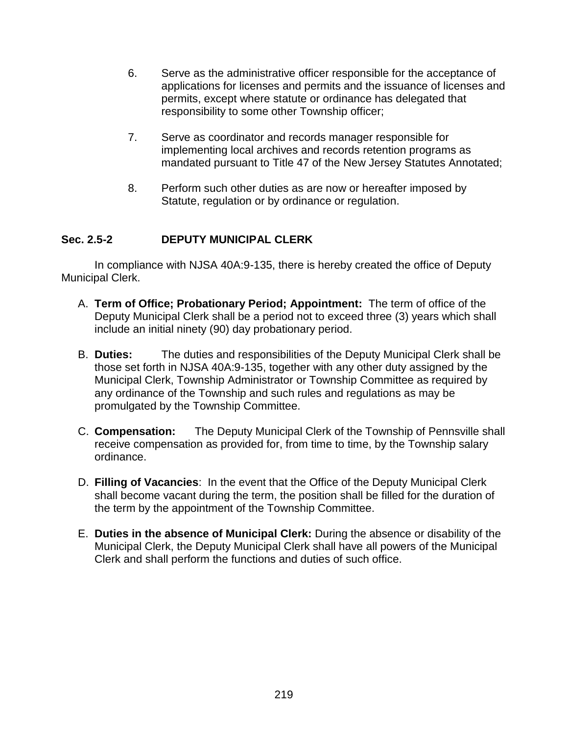- 6. Serve as the administrative officer responsible for the acceptance of applications for licenses and permits and the issuance of licenses and permits, except where statute or ordinance has delegated that responsibility to some other Township officer;
- 7. Serve as coordinator and records manager responsible for implementing local archives and records retention programs as mandated pursuant to Title 47 of the New Jersey Statutes Annotated;
- 8. Perform such other duties as are now or hereafter imposed by Statute, regulation or by ordinance or regulation.

# **Sec. 2.5-2 DEPUTY MUNICIPAL CLERK**

In compliance with NJSA 40A:9-135, there is hereby created the office of Deputy Municipal Clerk.

- A. **Term of Office; Probationary Period; Appointment:** The term of office of the Deputy Municipal Clerk shall be a period not to exceed three (3) years which shall include an initial ninety (90) day probationary period.
- B. **Duties:** The duties and responsibilities of the Deputy Municipal Clerk shall be those set forth in NJSA 40A:9-135, together with any other duty assigned by the Municipal Clerk, Township Administrator or Township Committee as required by any ordinance of the Township and such rules and regulations as may be promulgated by the Township Committee.
- C. **Compensation:** The Deputy Municipal Clerk of the Township of Pennsville shall receive compensation as provided for, from time to time, by the Township salary ordinance.
- D. **Filling of Vacancies**: In the event that the Office of the Deputy Municipal Clerk shall become vacant during the term, the position shall be filled for the duration of the term by the appointment of the Township Committee.
- E. **Duties in the absence of Municipal Clerk:** During the absence or disability of the Municipal Clerk, the Deputy Municipal Clerk shall have all powers of the Municipal Clerk and shall perform the functions and duties of such office.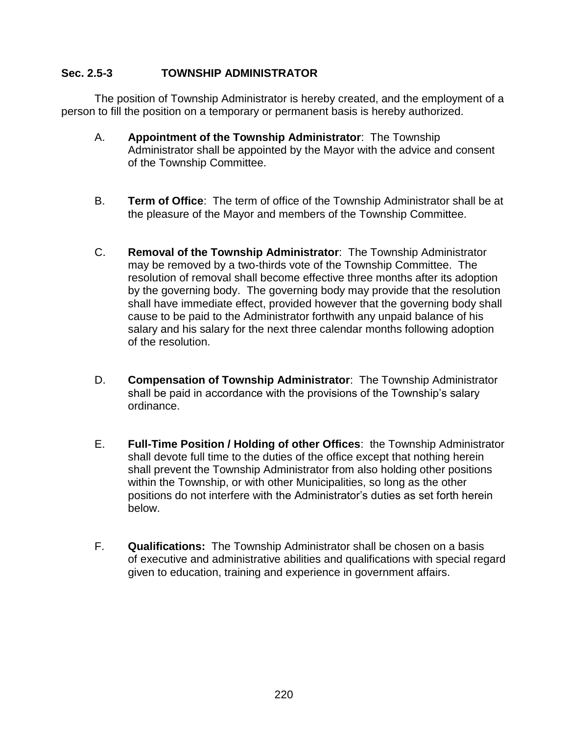#### **Sec. 2.5-3 TOWNSHIP ADMINISTRATOR**

The position of Township Administrator is hereby created, and the employment of a person to fill the position on a temporary or permanent basis is hereby authorized.

- A. **Appointment of the Township Administrator**: The Township Administrator shall be appointed by the Mayor with the advice and consent of the Township Committee.
- B. **Term of Office**: The term of office of the Township Administrator shall be at the pleasure of the Mayor and members of the Township Committee.
- C. **Removal of the Township Administrator**: The Township Administrator may be removed by a two-thirds vote of the Township Committee. The resolution of removal shall become effective three months after its adoption by the governing body. The governing body may provide that the resolution shall have immediate effect, provided however that the governing body shall cause to be paid to the Administrator forthwith any unpaid balance of his salary and his salary for the next three calendar months following adoption of the resolution.
- D. **Compensation of Township Administrator**: The Township Administrator shall be paid in accordance with the provisions of the Township's salary ordinance.
- E. **Full-Time Position / Holding of other Offices**: the Township Administrator shall devote full time to the duties of the office except that nothing herein shall prevent the Township Administrator from also holding other positions within the Township, or with other Municipalities, so long as the other positions do not interfere with the Administrator's duties as set forth herein below.
- F. **Qualifications:** The Township Administrator shall be chosen on a basis of executive and administrative abilities and qualifications with special regard given to education, training and experience in government affairs.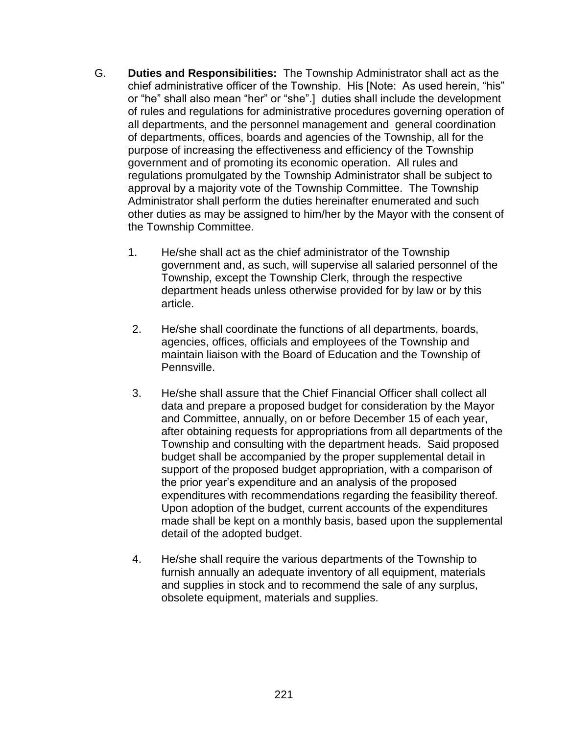- G. **Duties and Responsibilities:** The Township Administrator shall act as the chief administrative officer of the Township. His [Note: As used herein, "his" or "he" shall also mean "her" or "she".] duties shall include the development of rules and regulations for administrative procedures governing operation of all departments, and the personnel management and general coordination of departments, offices, boards and agencies of the Township, all for the purpose of increasing the effectiveness and efficiency of the Township government and of promoting its economic operation. All rules and regulations promulgated by the Township Administrator shall be subject to approval by a majority vote of the Township Committee. The Township Administrator shall perform the duties hereinafter enumerated and such other duties as may be assigned to him/her by the Mayor with the consent of the Township Committee.
	- 1. He/she shall act as the chief administrator of the Township government and, as such, will supervise all salaried personnel of the Township, except the Township Clerk, through the respective department heads unless otherwise provided for by law or by this article.
	- 2. He/she shall coordinate the functions of all departments, boards, agencies, offices, officials and employees of the Township and maintain liaison with the Board of Education and the Township of Pennsville.
	- 3. He/she shall assure that the Chief Financial Officer shall collect all data and prepare a proposed budget for consideration by the Mayor and Committee, annually, on or before December 15 of each year, after obtaining requests for appropriations from all departments of the Township and consulting with the department heads. Said proposed budget shall be accompanied by the proper supplemental detail in support of the proposed budget appropriation, with a comparison of the prior year's expenditure and an analysis of the proposed expenditures with recommendations regarding the feasibility thereof. Upon adoption of the budget, current accounts of the expenditures made shall be kept on a monthly basis, based upon the supplemental detail of the adopted budget.
	- 4. He/she shall require the various departments of the Township to furnish annually an adequate inventory of all equipment, materials and supplies in stock and to recommend the sale of any surplus, obsolete equipment, materials and supplies.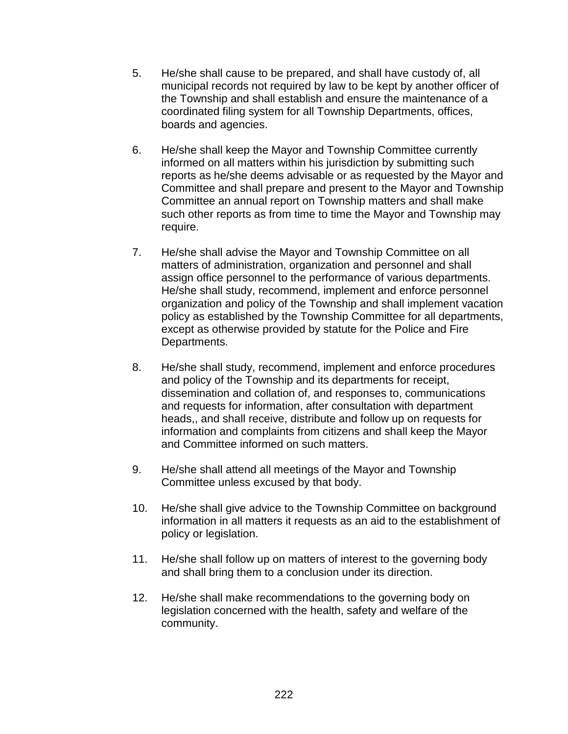- 5. He/she shall cause to be prepared, and shall have custody of, all municipal records not required by law to be kept by another officer of the Township and shall establish and ensure the maintenance of a coordinated filing system for all Township Departments, offices, boards and agencies.
- 6. He/she shall keep the Mayor and Township Committee currently informed on all matters within his jurisdiction by submitting such reports as he/she deems advisable or as requested by the Mayor and Committee and shall prepare and present to the Mayor and Township Committee an annual report on Township matters and shall make such other reports as from time to time the Mayor and Township may require.
- 7. He/she shall advise the Mayor and Township Committee on all matters of administration, organization and personnel and shall assign office personnel to the performance of various departments. He/she shall study, recommend, implement and enforce personnel organization and policy of the Township and shall implement vacation policy as established by the Township Committee for all departments, except as otherwise provided by statute for the Police and Fire Departments.
- 8. He/she shall study, recommend, implement and enforce procedures and policy of the Township and its departments for receipt, dissemination and collation of, and responses to, communications and requests for information, after consultation with department heads,, and shall receive, distribute and follow up on requests for information and complaints from citizens and shall keep the Mayor and Committee informed on such matters.
- 9. He/she shall attend all meetings of the Mayor and Township Committee unless excused by that body.
- 10. He/she shall give advice to the Township Committee on background information in all matters it requests as an aid to the establishment of policy or legislation.
- 11. He/she shall follow up on matters of interest to the governing body and shall bring them to a conclusion under its direction.
- 12. He/she shall make recommendations to the governing body on legislation concerned with the health, safety and welfare of the community.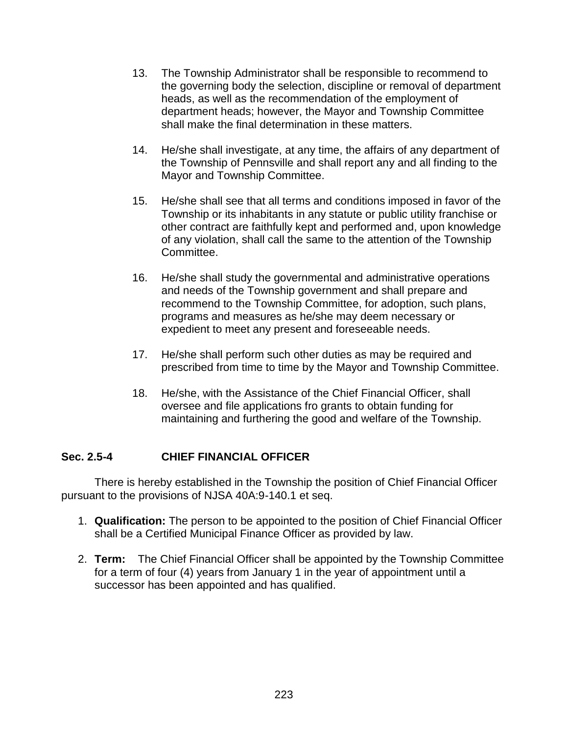- 13. The Township Administrator shall be responsible to recommend to the governing body the selection, discipline or removal of department heads, as well as the recommendation of the employment of department heads; however, the Mayor and Township Committee shall make the final determination in these matters.
- 14. He/she shall investigate, at any time, the affairs of any department of the Township of Pennsville and shall report any and all finding to the Mayor and Township Committee.
- 15. He/she shall see that all terms and conditions imposed in favor of the Township or its inhabitants in any statute or public utility franchise or other contract are faithfully kept and performed and, upon knowledge of any violation, shall call the same to the attention of the Township Committee.
- 16. He/she shall study the governmental and administrative operations and needs of the Township government and shall prepare and recommend to the Township Committee, for adoption, such plans, programs and measures as he/she may deem necessary or expedient to meet any present and foreseeable needs.
- 17. He/she shall perform such other duties as may be required and prescribed from time to time by the Mayor and Township Committee.
- 18. He/she, with the Assistance of the Chief Financial Officer, shall oversee and file applications fro grants to obtain funding for maintaining and furthering the good and welfare of the Township.

# **Sec. 2.5-4 CHIEF FINANCIAL OFFICER**

There is hereby established in the Township the position of Chief Financial Officer pursuant to the provisions of NJSA 40A:9-140.1 et seq.

- 1. **Qualification:** The person to be appointed to the position of Chief Financial Officer shall be a Certified Municipal Finance Officer as provided by law.
- 2. **Term:** The Chief Financial Officer shall be appointed by the Township Committee for a term of four (4) years from January 1 in the year of appointment until a successor has been appointed and has qualified.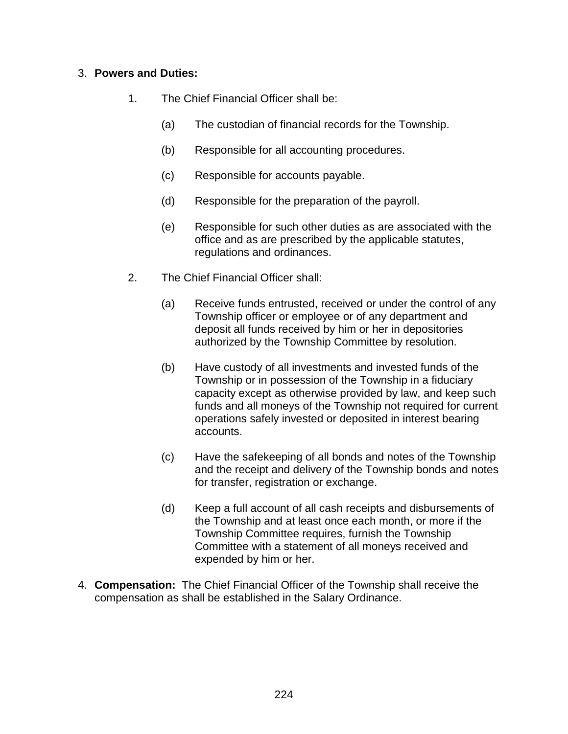### 3. **Powers and Duties:**

- 1. The Chief Financial Officer shall be:
	- (a) The custodian of financial records for the Township.
	- (b) Responsible for all accounting procedures.
	- (c) Responsible for accounts payable.
	- (d) Responsible for the preparation of the payroll.
	- (e) Responsible for such other duties as are associated with the office and as are prescribed by the applicable statutes, regulations and ordinances.
- 2. The Chief Financial Officer shall:
	- (a) Receive funds entrusted, received or under the control of any Township officer or employee or of any department and deposit all funds received by him or her in depositories authorized by the Township Committee by resolution.
	- (b) Have custody of all investments and invested funds of the Township or in possession of the Township in a fiduciary capacity except as otherwise provided by law, and keep such funds and all moneys of the Township not required for current operations safely invested or deposited in interest bearing accounts.
	- (c) Have the safekeeping of all bonds and notes of the Township and the receipt and delivery of the Township bonds and notes for transfer, registration or exchange.
	- (d) Keep a full account of all cash receipts and disbursements of the Township and at least once each month, or more if the Township Committee requires, furnish the Township Committee with a statement of all moneys received and expended by him or her.
- 4. **Compensation:** The Chief Financial Officer of the Township shall receive the compensation as shall be established in the Salary Ordinance.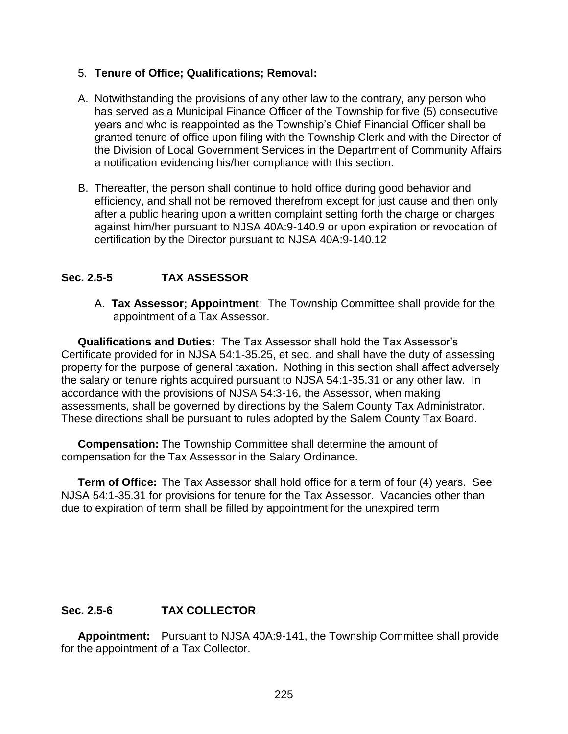#### 5. **Tenure of Office; Qualifications; Removal:**

- A. Notwithstanding the provisions of any other law to the contrary, any person who has served as a Municipal Finance Officer of the Township for five (5) consecutive years and who is reappointed as the Township's Chief Financial Officer shall be granted tenure of office upon filing with the Township Clerk and with the Director of the Division of Local Government Services in the Department of Community Affairs a notification evidencing his/her compliance with this section.
- B. Thereafter, the person shall continue to hold office during good behavior and efficiency, and shall not be removed therefrom except for just cause and then only after a public hearing upon a written complaint setting forth the charge or charges against him/her pursuant to NJSA 40A:9-140.9 or upon expiration or revocation of certification by the Director pursuant to NJSA 40A:9-140.12

### **Sec. 2.5-5 TAX ASSESSOR**

A. **Tax Assessor; Appointmen**t: The Township Committee shall provide for the appointment of a Tax Assessor.

**Qualifications and Duties:** The Tax Assessor shall hold the Tax Assessor's Certificate provided for in NJSA 54:1-35.25, et seq. and shall have the duty of assessing property for the purpose of general taxation. Nothing in this section shall affect adversely the salary or tenure rights acquired pursuant to NJSA 54:1-35.31 or any other law. In accordance with the provisions of NJSA 54:3-16, the Assessor, when making assessments, shall be governed by directions by the Salem County Tax Administrator. These directions shall be pursuant to rules adopted by the Salem County Tax Board.

**Compensation:** The Township Committee shall determine the amount of compensation for the Tax Assessor in the Salary Ordinance.

**Term of Office:** The Tax Assessor shall hold office for a term of four (4) years. See NJSA 54:1-35.31 for provisions for tenure for the Tax Assessor. Vacancies other than due to expiration of term shall be filled by appointment for the unexpired term

# **Sec. 2.5-6 TAX COLLECTOR**

**Appointment:** Pursuant to NJSA 40A:9-141, the Township Committee shall provide for the appointment of a Tax Collector.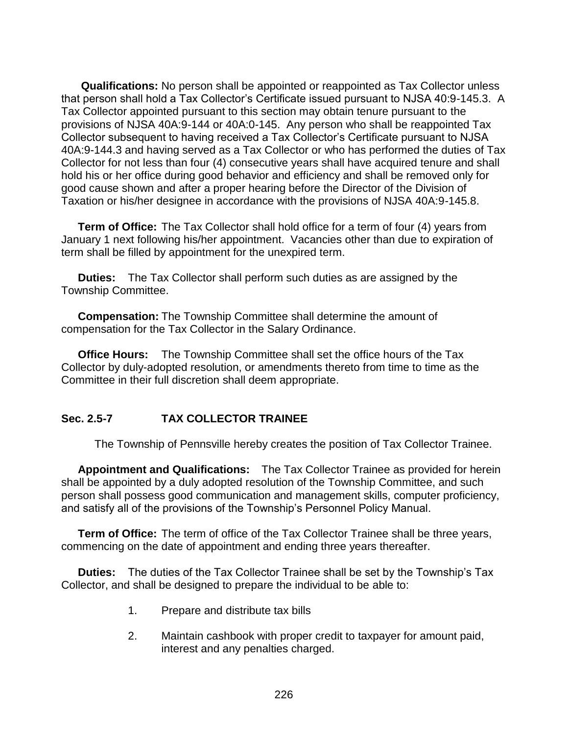**Qualifications:** No person shall be appointed or reappointed as Tax Collector unless that person shall hold a Tax Collector's Certificate issued pursuant to NJSA 40:9-145.3. A Tax Collector appointed pursuant to this section may obtain tenure pursuant to the provisions of NJSA 40A:9-144 or 40A:0-145. Any person who shall be reappointed Tax Collector subsequent to having received a Tax Collector's Certificate pursuant to NJSA 40A:9-144.3 and having served as a Tax Collector or who has performed the duties of Tax Collector for not less than four (4) consecutive years shall have acquired tenure and shall hold his or her office during good behavior and efficiency and shall be removed only for good cause shown and after a proper hearing before the Director of the Division of Taxation or his/her designee in accordance with the provisions of NJSA 40A:9-145.8.

**Term of Office:** The Tax Collector shall hold office for a term of four (4) years from January 1 next following his/her appointment. Vacancies other than due to expiration of term shall be filled by appointment for the unexpired term.

**Duties:** The Tax Collector shall perform such duties as are assigned by the Township Committee.

**Compensation:** The Township Committee shall determine the amount of compensation for the Tax Collector in the Salary Ordinance.

**Office Hours:** The Township Committee shall set the office hours of the Tax Collector by duly-adopted resolution, or amendments thereto from time to time as the Committee in their full discretion shall deem appropriate.

# **Sec. 2.5-7 TAX COLLECTOR TRAINEE**

The Township of Pennsville hereby creates the position of Tax Collector Trainee.

**Appointment and Qualifications:** The Tax Collector Trainee as provided for herein shall be appointed by a duly adopted resolution of the Township Committee, and such person shall possess good communication and management skills, computer proficiency, and satisfy all of the provisions of the Township's Personnel Policy Manual.

**Term of Office:** The term of office of the Tax Collector Trainee shall be three years, commencing on the date of appointment and ending three years thereafter.

**Duties:** The duties of the Tax Collector Trainee shall be set by the Township's Tax Collector, and shall be designed to prepare the individual to be able to:

- 1. Prepare and distribute tax bills
- 2. Maintain cashbook with proper credit to taxpayer for amount paid, interest and any penalties charged.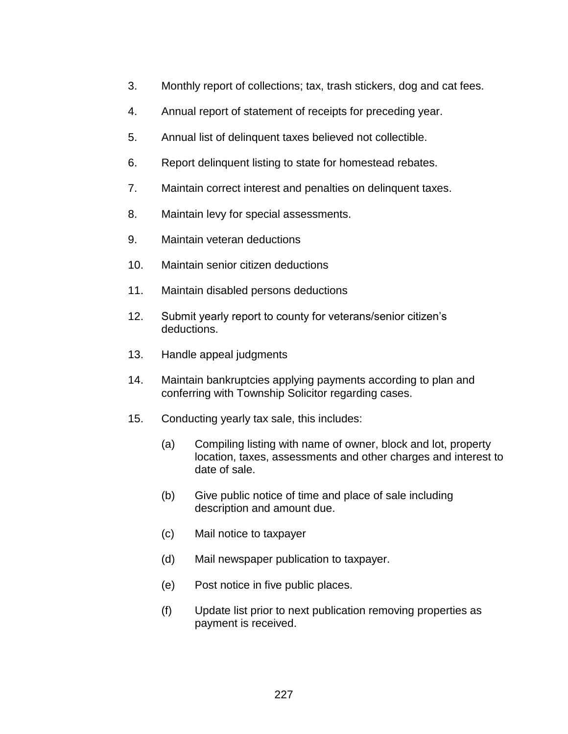- 3. Monthly report of collections; tax, trash stickers, dog and cat fees.
- 4. Annual report of statement of receipts for preceding year.
- 5. Annual list of delinquent taxes believed not collectible.
- 6. Report delinquent listing to state for homestead rebates.
- 7. Maintain correct interest and penalties on delinquent taxes.
- 8. Maintain levy for special assessments.
- 9. Maintain veteran deductions
- 10. Maintain senior citizen deductions
- 11. Maintain disabled persons deductions
- 12. Submit yearly report to county for veterans/senior citizen's deductions.
- 13. Handle appeal judgments
- 14. Maintain bankruptcies applying payments according to plan and conferring with Township Solicitor regarding cases.
- 15. Conducting yearly tax sale, this includes:
	- (a) Compiling listing with name of owner, block and lot, property location, taxes, assessments and other charges and interest to date of sale.
	- (b) Give public notice of time and place of sale including description and amount due.
	- (c) Mail notice to taxpayer
	- (d) Mail newspaper publication to taxpayer.
	- (e) Post notice in five public places.
	- (f) Update list prior to next publication removing properties as payment is received.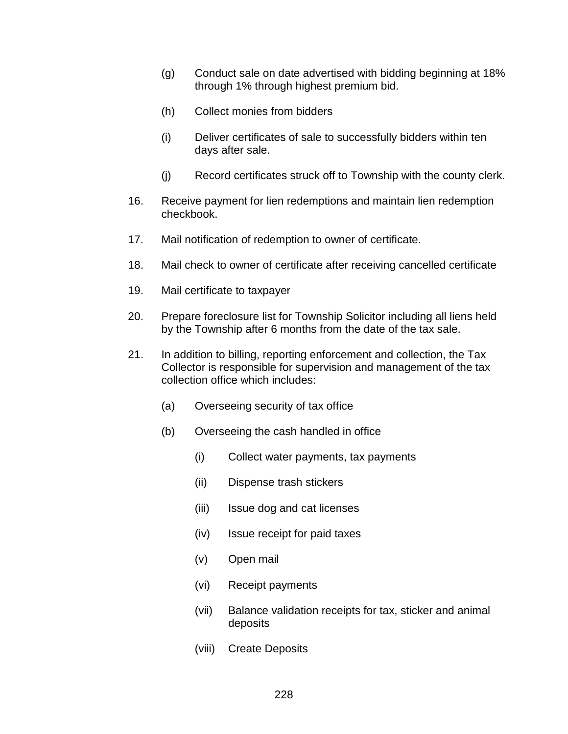- (g) Conduct sale on date advertised with bidding beginning at 18% through 1% through highest premium bid.
- (h) Collect monies from bidders
- (i) Deliver certificates of sale to successfully bidders within ten days after sale.
- (j) Record certificates struck off to Township with the county clerk.
- 16. Receive payment for lien redemptions and maintain lien redemption checkbook.
- 17. Mail notification of redemption to owner of certificate.
- 18. Mail check to owner of certificate after receiving cancelled certificate
- 19. Mail certificate to taxpayer
- 20. Prepare foreclosure list for Township Solicitor including all liens held by the Township after 6 months from the date of the tax sale.
- 21. In addition to billing, reporting enforcement and collection, the Tax Collector is responsible for supervision and management of the tax collection office which includes:
	- (a) Overseeing security of tax office
	- (b) Overseeing the cash handled in office
		- (i) Collect water payments, tax payments
		- (ii) Dispense trash stickers
		- (iii) Issue dog and cat licenses
		- (iv) Issue receipt for paid taxes
		- (v) Open mail
		- (vi) Receipt payments
		- (vii) Balance validation receipts for tax, sticker and animal deposits
		- (viii) Create Deposits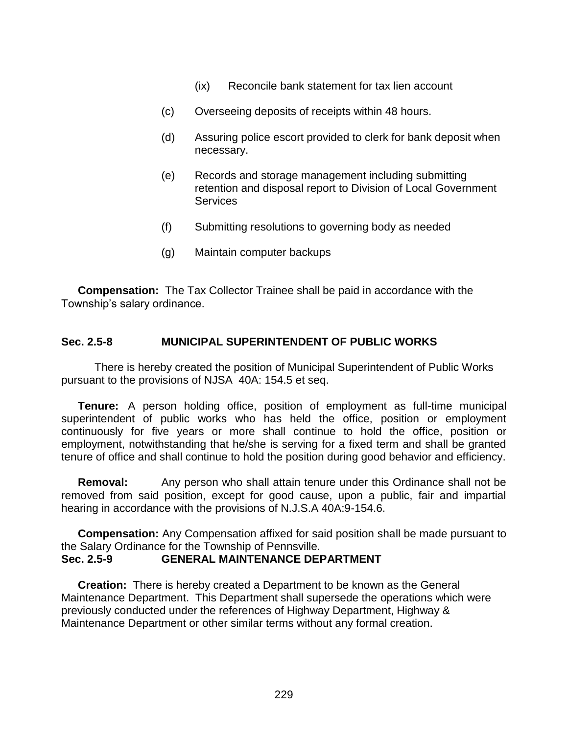- (ix) Reconcile bank statement for tax lien account
- (c) Overseeing deposits of receipts within 48 hours.
- (d) Assuring police escort provided to clerk for bank deposit when necessary.
- (e) Records and storage management including submitting retention and disposal report to Division of Local Government **Services**
- (f) Submitting resolutions to governing body as needed
- (g) Maintain computer backups

**Compensation:** The Tax Collector Trainee shall be paid in accordance with the Township's salary ordinance.

#### **Sec. 2.5-8 MUNICIPAL SUPERINTENDENT OF PUBLIC WORKS**

There is hereby created the position of Municipal Superintendent of Public Works pursuant to the provisions of NJSA 40A: 154.5 et seq.

**Tenure:** A person holding office, position of employment as full-time municipal superintendent of public works who has held the office, position or employment continuously for five years or more shall continue to hold the office, position or employment, notwithstanding that he/she is serving for a fixed term and shall be granted tenure of office and shall continue to hold the position during good behavior and efficiency.

**Removal:** Any person who shall attain tenure under this Ordinance shall not be removed from said position, except for good cause, upon a public, fair and impartial hearing in accordance with the provisions of N.J.S.A 40A:9-154.6.

**Compensation:** Any Compensation affixed for said position shall be made pursuant to the Salary Ordinance for the Township of Pennsville. **Sec. 2.5-9 GENERAL MAINTENANCE DEPARTMENT**

**Creation:** There is hereby created a Department to be known as the General Maintenance Department. This Department shall supersede the operations which were previously conducted under the references of Highway Department, Highway & Maintenance Department or other similar terms without any formal creation.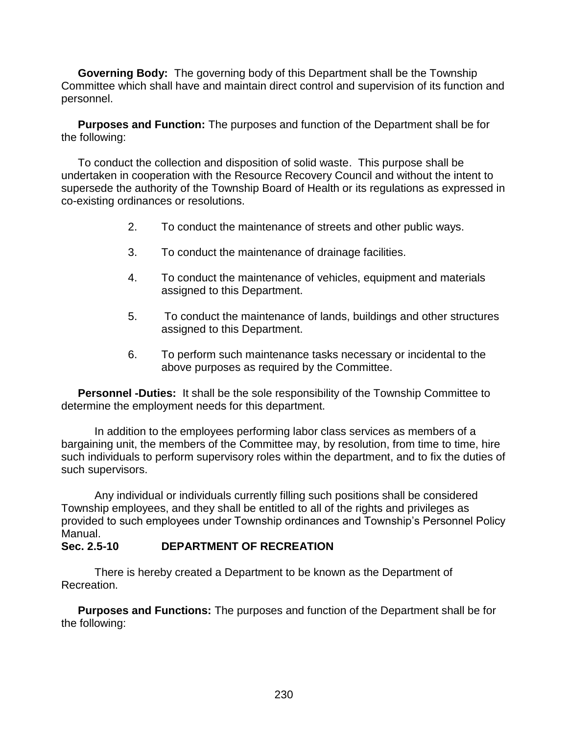**Governing Body:** The governing body of this Department shall be the Township Committee which shall have and maintain direct control and supervision of its function and personnel.

**Purposes and Function:** The purposes and function of the Department shall be for the following:

To conduct the collection and disposition of solid waste. This purpose shall be undertaken in cooperation with the Resource Recovery Council and without the intent to supersede the authority of the Township Board of Health or its regulations as expressed in co-existing ordinances or resolutions.

- 2. To conduct the maintenance of streets and other public ways.
- 3. To conduct the maintenance of drainage facilities.
- 4. To conduct the maintenance of vehicles, equipment and materials assigned to this Department.
- 5. To conduct the maintenance of lands, buildings and other structures assigned to this Department.
- 6. To perform such maintenance tasks necessary or incidental to the above purposes as required by the Committee.

**Personnel -Duties:** It shall be the sole responsibility of the Township Committee to determine the employment needs for this department.

In addition to the employees performing labor class services as members of a bargaining unit, the members of the Committee may, by resolution, from time to time, hire such individuals to perform supervisory roles within the department, and to fix the duties of such supervisors.

Any individual or individuals currently filling such positions shall be considered Township employees, and they shall be entitled to all of the rights and privileges as provided to such employees under Township ordinances and Township's Personnel Policy Manual.

# **Sec. 2.5-10 DEPARTMENT OF RECREATION**

There is hereby created a Department to be known as the Department of Recreation.

**Purposes and Functions:** The purposes and function of the Department shall be for the following: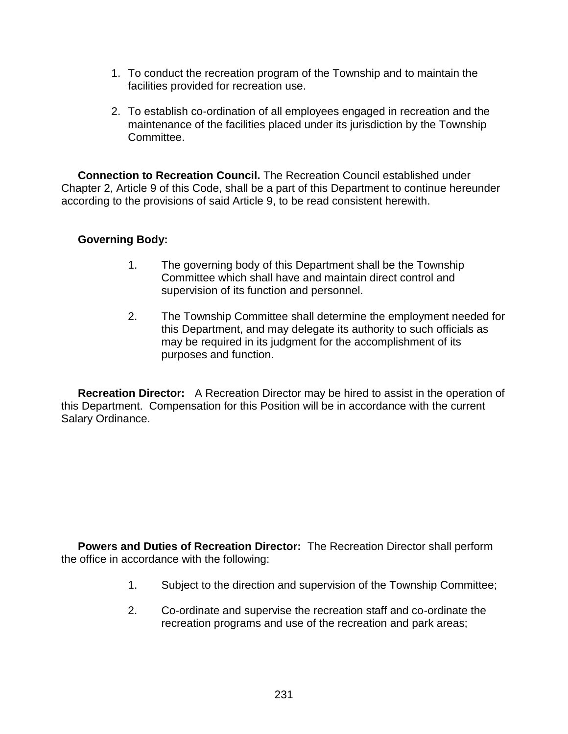- 1. To conduct the recreation program of the Township and to maintain the facilities provided for recreation use.
- 2. To establish co-ordination of all employees engaged in recreation and the maintenance of the facilities placed under its jurisdiction by the Township Committee.

**Connection to Recreation Council.** The Recreation Council established under Chapter 2, Article 9 of this Code, shall be a part of this Department to continue hereunder according to the provisions of said Article 9, to be read consistent herewith.

### **Governing Body:**

- 1. The governing body of this Department shall be the Township Committee which shall have and maintain direct control and supervision of its function and personnel.
- 2. The Township Committee shall determine the employment needed for this Department, and may delegate its authority to such officials as may be required in its judgment for the accomplishment of its purposes and function.

**Recreation Director:** A Recreation Director may be hired to assist in the operation of this Department. Compensation for this Position will be in accordance with the current Salary Ordinance.

**Powers and Duties of Recreation Director:** The Recreation Director shall perform the office in accordance with the following:

- 1. Subject to the direction and supervision of the Township Committee;
- 2. Co-ordinate and supervise the recreation staff and co-ordinate the recreation programs and use of the recreation and park areas;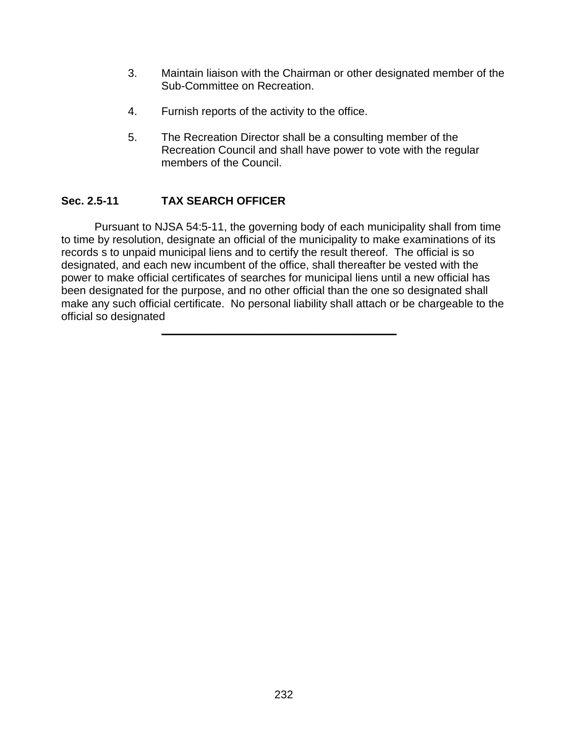- 3. Maintain liaison with the Chairman or other designated member of the Sub-Committee on Recreation.
- 4. Furnish reports of the activity to the office.
- 5. The Recreation Director shall be a consulting member of the Recreation Council and shall have power to vote with the regular members of the Council.

# **Sec. 2.5-11 TAX SEARCH OFFICER**

Pursuant to NJSA 54:5-11, the governing body of each municipality shall from time to time by resolution, designate an official of the municipality to make examinations of its records s to unpaid municipal liens and to certify the result thereof. The official is so designated, and each new incumbent of the office, shall thereafter be vested with the power to make official certificates of searches for municipal liens until a new official has been designated for the purpose, and no other official than the one so designated shall make any such official certificate. No personal liability shall attach or be chargeable to the official so designated

**\_\_\_\_\_\_\_\_\_\_\_\_\_\_\_\_\_\_\_\_\_\_\_\_\_\_\_\_\_\_\_\_\_\_\_\_\_\_**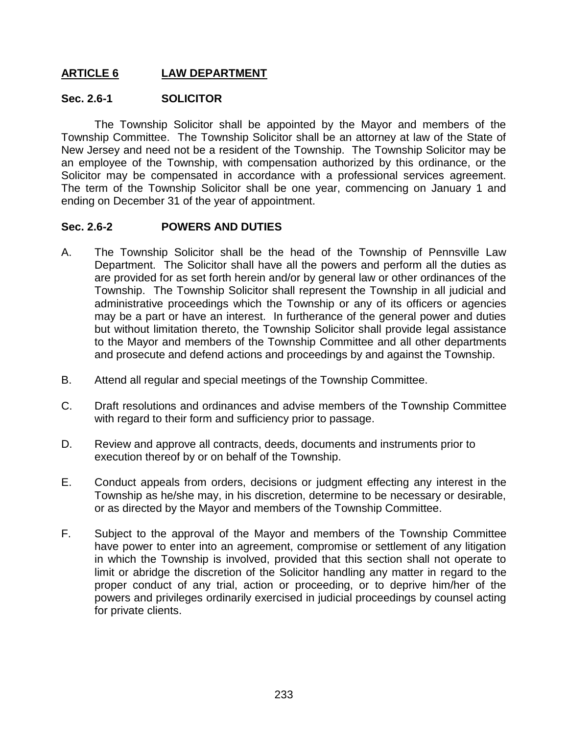# **ARTICLE 6 LAW DEPARTMENT**

#### **Sec. 2.6-1 SOLICITOR**

The Township Solicitor shall be appointed by the Mayor and members of the Township Committee. The Township Solicitor shall be an attorney at law of the State of New Jersey and need not be a resident of the Township. The Township Solicitor may be an employee of the Township, with compensation authorized by this ordinance, or the Solicitor may be compensated in accordance with a professional services agreement. The term of the Township Solicitor shall be one year, commencing on January 1 and ending on December 31 of the year of appointment.

#### **Sec. 2.6-2 POWERS AND DUTIES**

- A. The Township Solicitor shall be the head of the Township of Pennsville Law Department. The Solicitor shall have all the powers and perform all the duties as are provided for as set forth herein and/or by general law or other ordinances of the Township. The Township Solicitor shall represent the Township in all judicial and administrative proceedings which the Township or any of its officers or agencies may be a part or have an interest. In furtherance of the general power and duties but without limitation thereto, the Township Solicitor shall provide legal assistance to the Mayor and members of the Township Committee and all other departments and prosecute and defend actions and proceedings by and against the Township.
- B. Attend all regular and special meetings of the Township Committee.
- C. Draft resolutions and ordinances and advise members of the Township Committee with regard to their form and sufficiency prior to passage.
- D. Review and approve all contracts, deeds, documents and instruments prior to execution thereof by or on behalf of the Township.
- E. Conduct appeals from orders, decisions or judgment effecting any interest in the Township as he/she may, in his discretion, determine to be necessary or desirable, or as directed by the Mayor and members of the Township Committee.
- F. Subject to the approval of the Mayor and members of the Township Committee have power to enter into an agreement, compromise or settlement of any litigation in which the Township is involved, provided that this section shall not operate to limit or abridge the discretion of the Solicitor handling any matter in regard to the proper conduct of any trial, action or proceeding, or to deprive him/her of the powers and privileges ordinarily exercised in judicial proceedings by counsel acting for private clients.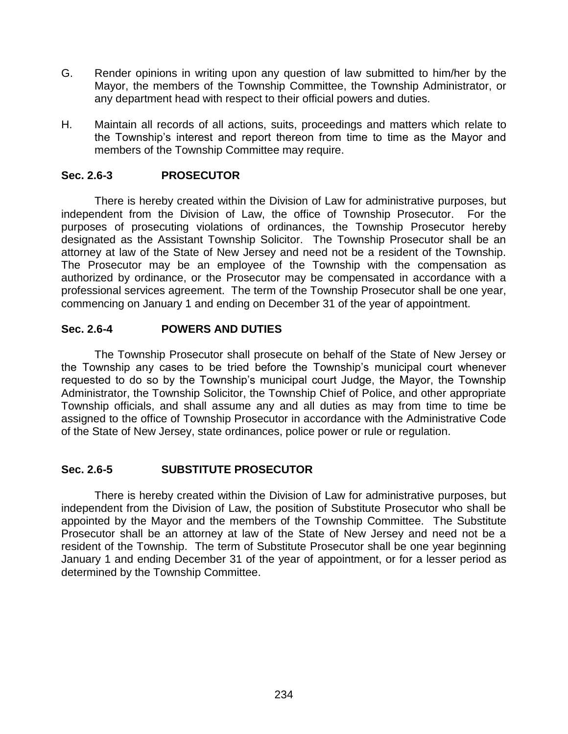- G. Render opinions in writing upon any question of law submitted to him/her by the Mayor, the members of the Township Committee, the Township Administrator, or any department head with respect to their official powers and duties.
- H. Maintain all records of all actions, suits, proceedings and matters which relate to the Township's interest and report thereon from time to time as the Mayor and members of the Township Committee may require.

# **Sec. 2.6-3 PROSECUTOR**

There is hereby created within the Division of Law for administrative purposes, but independent from the Division of Law, the office of Township Prosecutor. For the purposes of prosecuting violations of ordinances, the Township Prosecutor hereby designated as the Assistant Township Solicitor. The Township Prosecutor shall be an attorney at law of the State of New Jersey and need not be a resident of the Township. The Prosecutor may be an employee of the Township with the compensation as authorized by ordinance, or the Prosecutor may be compensated in accordance with a professional services agreement. The term of the Township Prosecutor shall be one year, commencing on January 1 and ending on December 31 of the year of appointment.

### **Sec. 2.6-4 POWERS AND DUTIES**

The Township Prosecutor shall prosecute on behalf of the State of New Jersey or the Township any cases to be tried before the Township's municipal court whenever requested to do so by the Township's municipal court Judge, the Mayor, the Township Administrator, the Township Solicitor, the Township Chief of Police, and other appropriate Township officials, and shall assume any and all duties as may from time to time be assigned to the office of Township Prosecutor in accordance with the Administrative Code of the State of New Jersey, state ordinances, police power or rule or regulation.

#### **Sec. 2.6-5 SUBSTITUTE PROSECUTOR**

There is hereby created within the Division of Law for administrative purposes, but independent from the Division of Law, the position of Substitute Prosecutor who shall be appointed by the Mayor and the members of the Township Committee. The Substitute Prosecutor shall be an attorney at law of the State of New Jersey and need not be a resident of the Township. The term of Substitute Prosecutor shall be one year beginning January 1 and ending December 31 of the year of appointment, or for a lesser period as determined by the Township Committee.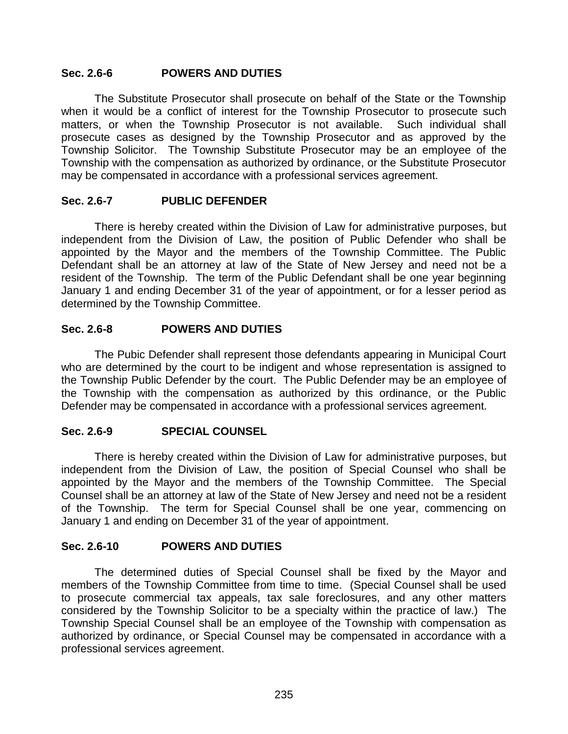#### **Sec. 2.6-6 POWERS AND DUTIES**

The Substitute Prosecutor shall prosecute on behalf of the State or the Township when it would be a conflict of interest for the Township Prosecutor to prosecute such matters, or when the Township Prosecutor is not available. Such individual shall prosecute cases as designed by the Township Prosecutor and as approved by the Township Solicitor. The Township Substitute Prosecutor may be an employee of the Township with the compensation as authorized by ordinance, or the Substitute Prosecutor may be compensated in accordance with a professional services agreement.

#### **Sec. 2.6-7 PUBLIC DEFENDER**

There is hereby created within the Division of Law for administrative purposes, but independent from the Division of Law, the position of Public Defender who shall be appointed by the Mayor and the members of the Township Committee. The Public Defendant shall be an attorney at law of the State of New Jersey and need not be a resident of the Township. The term of the Public Defendant shall be one year beginning January 1 and ending December 31 of the year of appointment, or for a lesser period as determined by the Township Committee.

### **Sec. 2.6-8 POWERS AND DUTIES**

The Pubic Defender shall represent those defendants appearing in Municipal Court who are determined by the court to be indigent and whose representation is assigned to the Township Public Defender by the court. The Public Defender may be an employee of the Township with the compensation as authorized by this ordinance, or the Public Defender may be compensated in accordance with a professional services agreement.

#### **Sec. 2.6-9 SPECIAL COUNSEL**

There is hereby created within the Division of Law for administrative purposes, but independent from the Division of Law, the position of Special Counsel who shall be appointed by the Mayor and the members of the Township Committee. The Special Counsel shall be an attorney at law of the State of New Jersey and need not be a resident of the Township. The term for Special Counsel shall be one year, commencing on January 1 and ending on December 31 of the year of appointment.

# **Sec. 2.6-10 POWERS AND DUTIES**

The determined duties of Special Counsel shall be fixed by the Mayor and members of the Township Committee from time to time. (Special Counsel shall be used to prosecute commercial tax appeals, tax sale foreclosures, and any other matters considered by the Township Solicitor to be a specialty within the practice of law.) The Township Special Counsel shall be an employee of the Township with compensation as authorized by ordinance, or Special Counsel may be compensated in accordance with a professional services agreement.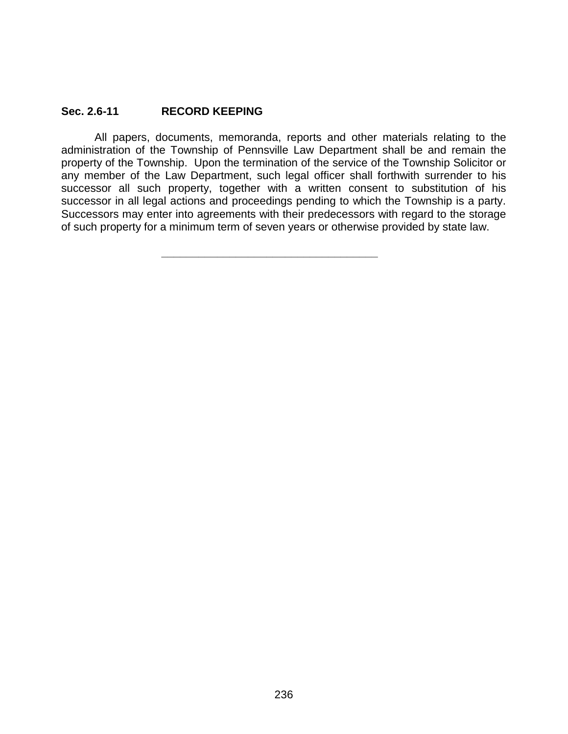#### **Sec. 2.6-11 RECORD KEEPING**

All papers, documents, memoranda, reports and other materials relating to the administration of the Township of Pennsville Law Department shall be and remain the property of the Township. Upon the termination of the service of the Township Solicitor or any member of the Law Department, such legal officer shall forthwith surrender to his successor all such property, together with a written consent to substitution of his successor in all legal actions and proceedings pending to which the Township is a party. Successors may enter into agreements with their predecessors with regard to the storage of such property for a minimum term of seven years or otherwise provided by state law.

**\_\_\_\_\_\_\_\_\_\_\_\_\_\_\_\_\_\_\_\_\_\_\_\_\_\_\_\_\_\_\_\_\_\_\_**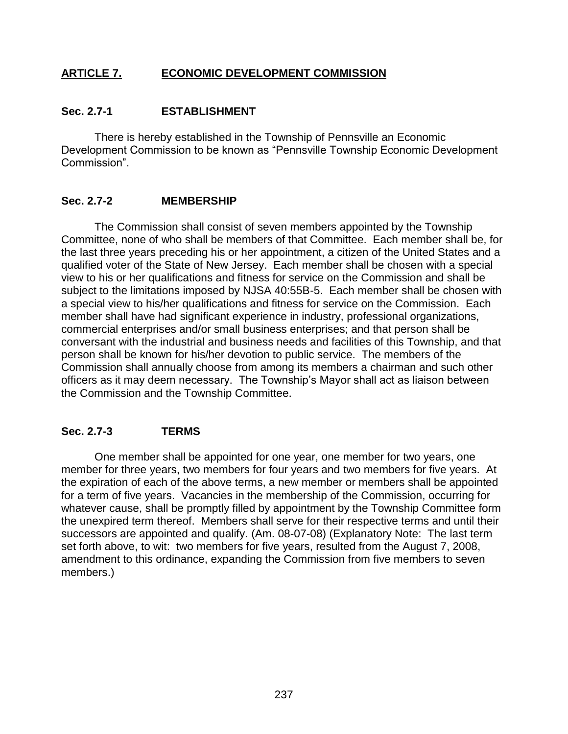# **ARTICLE 7. ECONOMIC DEVELOPMENT COMMISSION**

#### **Sec. 2.7-1 ESTABLISHMENT**

There is hereby established in the Township of Pennsville an Economic Development Commission to be known as "Pennsville Township Economic Development Commission".

#### **Sec. 2.7-2 MEMBERSHIP**

The Commission shall consist of seven members appointed by the Township Committee, none of who shall be members of that Committee. Each member shall be, for the last three years preceding his or her appointment, a citizen of the United States and a qualified voter of the State of New Jersey. Each member shall be chosen with a special view to his or her qualifications and fitness for service on the Commission and shall be subject to the limitations imposed by NJSA 40:55B-5. Each member shall be chosen with a special view to his/her qualifications and fitness for service on the Commission. Each member shall have had significant experience in industry, professional organizations, commercial enterprises and/or small business enterprises; and that person shall be conversant with the industrial and business needs and facilities of this Township, and that person shall be known for his/her devotion to public service. The members of the Commission shall annually choose from among its members a chairman and such other officers as it may deem necessary. The Township's Mayor shall act as liaison between the Commission and the Township Committee.

#### **Sec. 2.7-3 TERMS**

One member shall be appointed for one year, one member for two years, one member for three years, two members for four years and two members for five years. At the expiration of each of the above terms, a new member or members shall be appointed for a term of five years. Vacancies in the membership of the Commission, occurring for whatever cause, shall be promptly filled by appointment by the Township Committee form the unexpired term thereof. Members shall serve for their respective terms and until their successors are appointed and qualify. (Am. 08-07-08) (Explanatory Note: The last term set forth above, to wit: two members for five years, resulted from the August 7, 2008, amendment to this ordinance, expanding the Commission from five members to seven members.)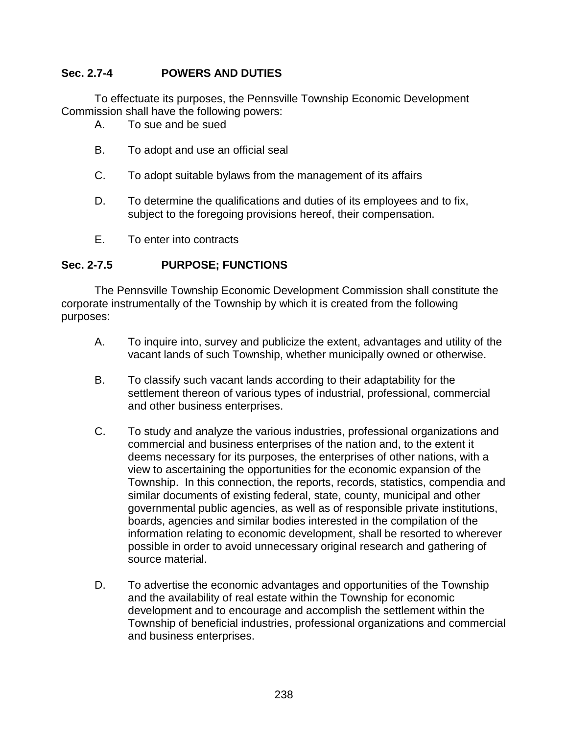# **Sec. 2.7-4 POWERS AND DUTIES**

To effectuate its purposes, the Pennsville Township Economic Development Commission shall have the following powers:

- A. To sue and be sued
- B. To adopt and use an official seal
- C. To adopt suitable bylaws from the management of its affairs
- D. To determine the qualifications and duties of its employees and to fix, subject to the foregoing provisions hereof, their compensation.
- E. To enter into contracts

#### **Sec. 2-7.5 PURPOSE; FUNCTIONS**

The Pennsville Township Economic Development Commission shall constitute the corporate instrumentally of the Township by which it is created from the following purposes:

- A. To inquire into, survey and publicize the extent, advantages and utility of the vacant lands of such Township, whether municipally owned or otherwise.
- B. To classify such vacant lands according to their adaptability for the settlement thereon of various types of industrial, professional, commercial and other business enterprises.
- C. To study and analyze the various industries, professional organizations and commercial and business enterprises of the nation and, to the extent it deems necessary for its purposes, the enterprises of other nations, with a view to ascertaining the opportunities for the economic expansion of the Township. In this connection, the reports, records, statistics, compendia and similar documents of existing federal, state, county, municipal and other governmental public agencies, as well as of responsible private institutions, boards, agencies and similar bodies interested in the compilation of the information relating to economic development, shall be resorted to wherever possible in order to avoid unnecessary original research and gathering of source material.
- D. To advertise the economic advantages and opportunities of the Township and the availability of real estate within the Township for economic development and to encourage and accomplish the settlement within the Township of beneficial industries, professional organizations and commercial and business enterprises.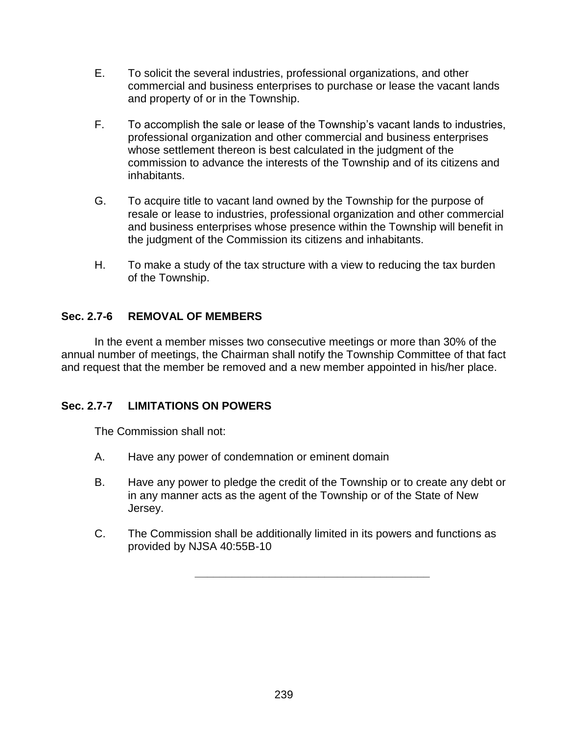- E. To solicit the several industries, professional organizations, and other commercial and business enterprises to purchase or lease the vacant lands and property of or in the Township.
- F. To accomplish the sale or lease of the Township's vacant lands to industries, professional organization and other commercial and business enterprises whose settlement thereon is best calculated in the judgment of the commission to advance the interests of the Township and of its citizens and inhabitants.
- G. To acquire title to vacant land owned by the Township for the purpose of resale or lease to industries, professional organization and other commercial and business enterprises whose presence within the Township will benefit in the judgment of the Commission its citizens and inhabitants.
- H. To make a study of the tax structure with a view to reducing the tax burden of the Township.

# **Sec. 2.7-6 REMOVAL OF MEMBERS**

In the event a member misses two consecutive meetings or more than 30% of the annual number of meetings, the Chairman shall notify the Township Committee of that fact and request that the member be removed and a new member appointed in his/her place.

# **Sec. 2.7-7 LIMITATIONS ON POWERS**

The Commission shall not:

- A. Have any power of condemnation or eminent domain
- B. Have any power to pledge the credit of the Township or to create any debt or in any manner acts as the agent of the Township or of the State of New Jersey.
- C. The Commission shall be additionally limited in its powers and functions as provided by NJSA 40:55B-10

**\_\_\_\_\_\_\_\_\_\_\_\_\_\_\_\_\_\_\_\_\_\_\_\_\_\_\_\_\_\_\_\_\_\_\_\_\_\_**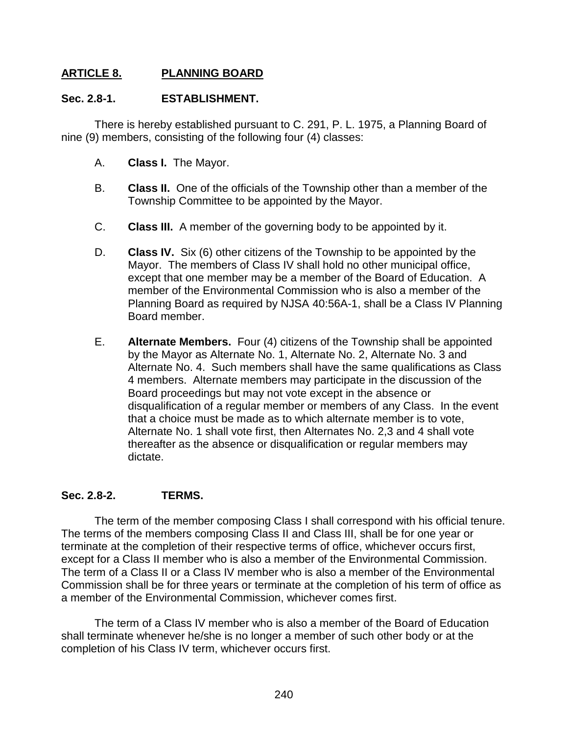# **ARTICLE 8. PLANNING BOARD**

### **Sec. 2.8-1. ESTABLISHMENT.**

There is hereby established pursuant to C. 291, P. L. 1975, a Planning Board of nine (9) members, consisting of the following four (4) classes:

- A. **Class I.** The Mayor.
- B. **Class II.** One of the officials of the Township other than a member of the Township Committee to be appointed by the Mayor.
- C. **Class III.** A member of the governing body to be appointed by it.
- D. **Class IV.** Six (6) other citizens of the Township to be appointed by the Mayor. The members of Class IV shall hold no other municipal office, except that one member may be a member of the Board of Education. A member of the Environmental Commission who is also a member of the Planning Board as required by NJSA 40:56A-1, shall be a Class IV Planning Board member.
- E. **Alternate Members.** Four (4) citizens of the Township shall be appointed by the Mayor as Alternate No. 1, Alternate No. 2, Alternate No. 3 and Alternate No. 4. Such members shall have the same qualifications as Class 4 members. Alternate members may participate in the discussion of the Board proceedings but may not vote except in the absence or disqualification of a regular member or members of any Class. In the event that a choice must be made as to which alternate member is to vote, Alternate No. 1 shall vote first, then Alternates No. 2,3 and 4 shall vote thereafter as the absence or disqualification or regular members may dictate.

# **Sec. 2.8-2. TERMS.**

The term of the member composing Class I shall correspond with his official tenure. The terms of the members composing Class II and Class III, shall be for one year or terminate at the completion of their respective terms of office, whichever occurs first, except for a Class II member who is also a member of the Environmental Commission. The term of a Class II or a Class IV member who is also a member of the Environmental Commission shall be for three years or terminate at the completion of his term of office as a member of the Environmental Commission, whichever comes first.

The term of a Class IV member who is also a member of the Board of Education shall terminate whenever he/she is no longer a member of such other body or at the completion of his Class IV term, whichever occurs first.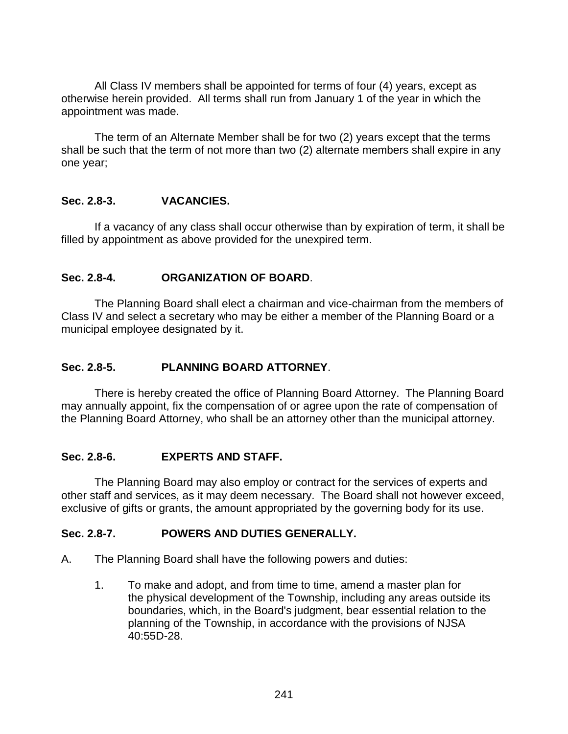All Class IV members shall be appointed for terms of four (4) years, except as otherwise herein provided. All terms shall run from January 1 of the year in which the appointment was made.

The term of an Alternate Member shall be for two (2) years except that the terms shall be such that the term of not more than two (2) alternate members shall expire in any one year;

# **Sec. 2.8-3. VACANCIES.**

If a vacancy of any class shall occur otherwise than by expiration of term, it shall be filled by appointment as above provided for the unexpired term.

### **Sec. 2.8-4. ORGANIZATION OF BOARD**.

The Planning Board shall elect a chairman and vice-chairman from the members of Class IV and select a secretary who may be either a member of the Planning Board or a municipal employee designated by it.

# **Sec. 2.8-5. PLANNING BOARD ATTORNEY**.

There is hereby created the office of Planning Board Attorney. The Planning Board may annually appoint, fix the compensation of or agree upon the rate of compensation of the Planning Board Attorney, who shall be an attorney other than the municipal attorney.

#### **Sec. 2.8-6. EXPERTS AND STAFF.**

The Planning Board may also employ or contract for the services of experts and other staff and services, as it may deem necessary. The Board shall not however exceed, exclusive of gifts or grants, the amount appropriated by the governing body for its use.

#### **Sec. 2.8-7. POWERS AND DUTIES GENERALLY.**

- A. The Planning Board shall have the following powers and duties:
	- 1. To make and adopt, and from time to time, amend a master plan for the physical development of the Township, including any areas outside its boundaries, which, in the Board's judgment, bear essential relation to the planning of the Township, in accordance with the provisions of NJSA 40:55D-28.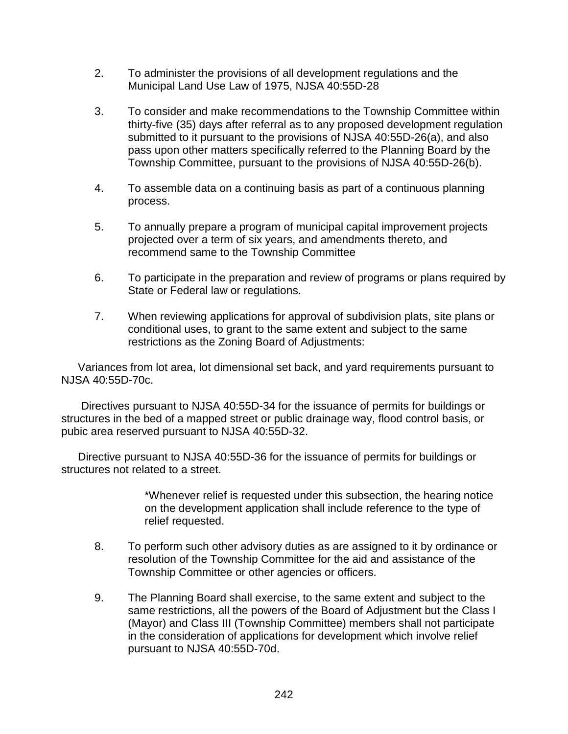- 2. To administer the provisions of all development regulations and the Municipal Land Use Law of 1975, NJSA 40:55D-28
- 3. To consider and make recommendations to the Township Committee within thirty-five (35) days after referral as to any proposed development regulation submitted to it pursuant to the provisions of NJSA 40:55D-26(a), and also pass upon other matters specifically referred to the Planning Board by the Township Committee, pursuant to the provisions of NJSA 40:55D-26(b).
- 4. To assemble data on a continuing basis as part of a continuous planning process.
- 5. To annually prepare a program of municipal capital improvement projects projected over a term of six years, and amendments thereto, and recommend same to the Township Committee
- 6. To participate in the preparation and review of programs or plans required by State or Federal law or regulations.
- 7. When reviewing applications for approval of subdivision plats, site plans or conditional uses, to grant to the same extent and subject to the same restrictions as the Zoning Board of Adjustments:

Variances from lot area, lot dimensional set back, and yard requirements pursuant to NJSA 40:55D-70c.

Directives pursuant to NJSA 40:55D-34 for the issuance of permits for buildings or structures in the bed of a mapped street or public drainage way, flood control basis, or pubic area reserved pursuant to NJSA 40:55D-32.

Directive pursuant to NJSA 40:55D-36 for the issuance of permits for buildings or structures not related to a street.

> \*Whenever relief is requested under this subsection, the hearing notice on the development application shall include reference to the type of relief requested.

- 8. To perform such other advisory duties as are assigned to it by ordinance or resolution of the Township Committee for the aid and assistance of the Township Committee or other agencies or officers.
- 9. The Planning Board shall exercise, to the same extent and subject to the same restrictions, all the powers of the Board of Adjustment but the Class I (Mayor) and Class III (Township Committee) members shall not participate in the consideration of applications for development which involve relief pursuant to NJSA 40:55D-70d.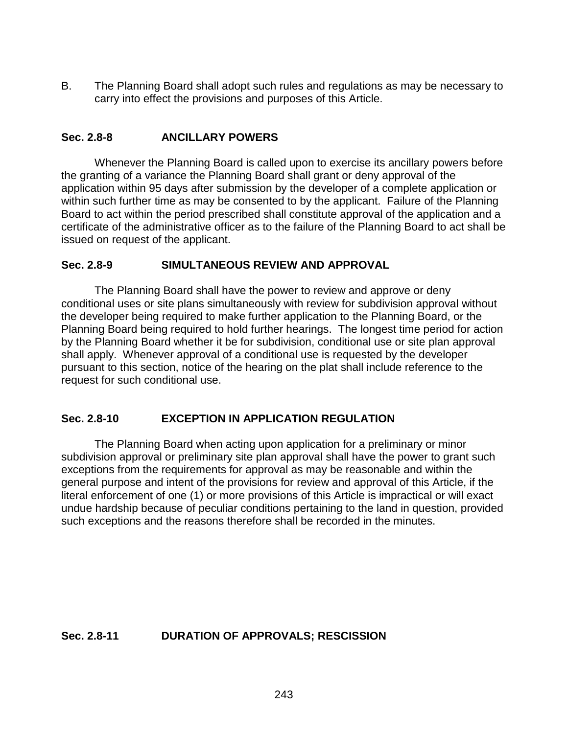B. The Planning Board shall adopt such rules and regulations as may be necessary to carry into effect the provisions and purposes of this Article.

# **Sec. 2.8-8 ANCILLARY POWERS**

Whenever the Planning Board is called upon to exercise its ancillary powers before the granting of a variance the Planning Board shall grant or deny approval of the application within 95 days after submission by the developer of a complete application or within such further time as may be consented to by the applicant. Failure of the Planning Board to act within the period prescribed shall constitute approval of the application and a certificate of the administrative officer as to the failure of the Planning Board to act shall be issued on request of the applicant.

### **Sec. 2.8-9 SIMULTANEOUS REVIEW AND APPROVAL**

The Planning Board shall have the power to review and approve or deny conditional uses or site plans simultaneously with review for subdivision approval without the developer being required to make further application to the Planning Board, or the Planning Board being required to hold further hearings. The longest time period for action by the Planning Board whether it be for subdivision, conditional use or site plan approval shall apply. Whenever approval of a conditional use is requested by the developer pursuant to this section, notice of the hearing on the plat shall include reference to the request for such conditional use.

# **Sec. 2.8-10 EXCEPTION IN APPLICATION REGULATION**

The Planning Board when acting upon application for a preliminary or minor subdivision approval or preliminary site plan approval shall have the power to grant such exceptions from the requirements for approval as may be reasonable and within the general purpose and intent of the provisions for review and approval of this Article, if the literal enforcement of one (1) or more provisions of this Article is impractical or will exact undue hardship because of peculiar conditions pertaining to the land in question, provided such exceptions and the reasons therefore shall be recorded in the minutes.

#### **Sec. 2.8-11 DURATION OF APPROVALS; RESCISSION**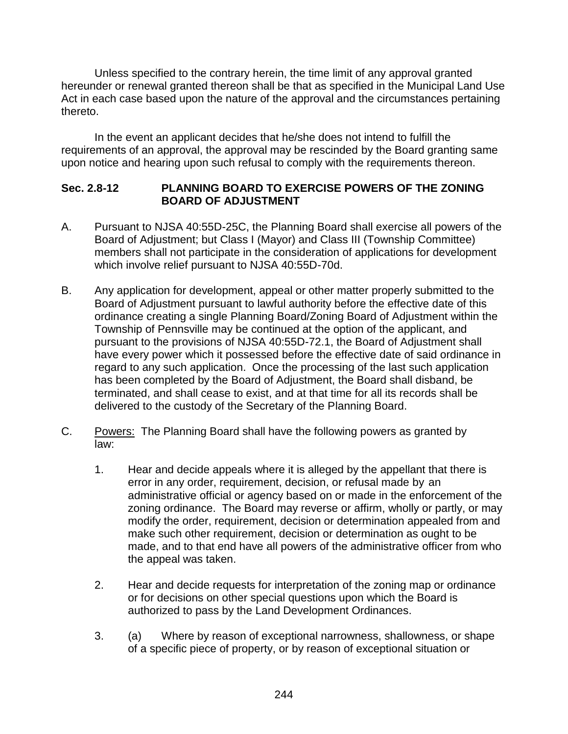Unless specified to the contrary herein, the time limit of any approval granted hereunder or renewal granted thereon shall be that as specified in the Municipal Land Use Act in each case based upon the nature of the approval and the circumstances pertaining thereto.

In the event an applicant decides that he/she does not intend to fulfill the requirements of an approval, the approval may be rescinded by the Board granting same upon notice and hearing upon such refusal to comply with the requirements thereon.

### **Sec. 2.8-12 PLANNING BOARD TO EXERCISE POWERS OF THE ZONING BOARD OF ADJUSTMENT**

- A. Pursuant to NJSA 40:55D-25C, the Planning Board shall exercise all powers of the Board of Adjustment; but Class I (Mayor) and Class III (Township Committee) members shall not participate in the consideration of applications for development which involve relief pursuant to NJSA 40:55D-70d.
- B. Any application for development, appeal or other matter properly submitted to the Board of Adjustment pursuant to lawful authority before the effective date of this ordinance creating a single Planning Board/Zoning Board of Adjustment within the Township of Pennsville may be continued at the option of the applicant, and pursuant to the provisions of NJSA 40:55D-72.1, the Board of Adjustment shall have every power which it possessed before the effective date of said ordinance in regard to any such application. Once the processing of the last such application has been completed by the Board of Adjustment, the Board shall disband, be terminated, and shall cease to exist, and at that time for all its records shall be delivered to the custody of the Secretary of the Planning Board.
- C. Powers: The Planning Board shall have the following powers as granted by law:
	- 1. Hear and decide appeals where it is alleged by the appellant that there is error in any order, requirement, decision, or refusal made by an administrative official or agency based on or made in the enforcement of the zoning ordinance. The Board may reverse or affirm, wholly or partly, or may modify the order, requirement, decision or determination appealed from and make such other requirement, decision or determination as ought to be made, and to that end have all powers of the administrative officer from who the appeal was taken.
	- 2. Hear and decide requests for interpretation of the zoning map or ordinance or for decisions on other special questions upon which the Board is authorized to pass by the Land Development Ordinances.
	- 3. (a) Where by reason of exceptional narrowness, shallowness, or shape of a specific piece of property, or by reason of exceptional situation or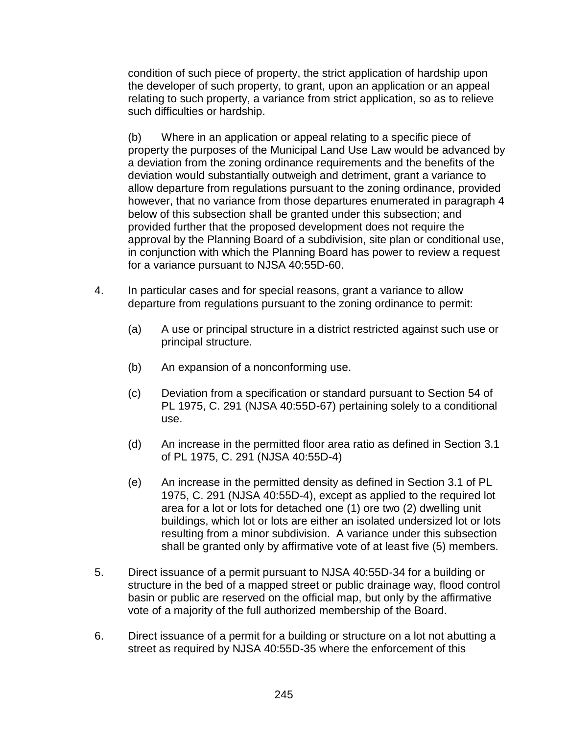condition of such piece of property, the strict application of hardship upon the developer of such property, to grant, upon an application or an appeal relating to such property, a variance from strict application, so as to relieve such difficulties or hardship.

(b) Where in an application or appeal relating to a specific piece of property the purposes of the Municipal Land Use Law would be advanced by a deviation from the zoning ordinance requirements and the benefits of the deviation would substantially outweigh and detriment, grant a variance to allow departure from regulations pursuant to the zoning ordinance, provided however, that no variance from those departures enumerated in paragraph 4 below of this subsection shall be granted under this subsection; and provided further that the proposed development does not require the approval by the Planning Board of a subdivision, site plan or conditional use, in conjunction with which the Planning Board has power to review a request for a variance pursuant to NJSA 40:55D-60.

- 4. In particular cases and for special reasons, grant a variance to allow departure from regulations pursuant to the zoning ordinance to permit:
	- (a) A use or principal structure in a district restricted against such use or principal structure.
	- (b) An expansion of a nonconforming use.
	- (c) Deviation from a specification or standard pursuant to Section 54 of PL 1975, C. 291 (NJSA 40:55D-67) pertaining solely to a conditional use.
	- (d) An increase in the permitted floor area ratio as defined in Section 3.1 of PL 1975, C. 291 (NJSA 40:55D-4)
	- (e) An increase in the permitted density as defined in Section 3.1 of PL 1975, C. 291 (NJSA 40:55D-4), except as applied to the required lot area for a lot or lots for detached one (1) ore two (2) dwelling unit buildings, which lot or lots are either an isolated undersized lot or lots resulting from a minor subdivision. A variance under this subsection shall be granted only by affirmative vote of at least five (5) members.
- 5. Direct issuance of a permit pursuant to NJSA 40:55D-34 for a building or structure in the bed of a mapped street or public drainage way, flood control basin or public are reserved on the official map, but only by the affirmative vote of a majority of the full authorized membership of the Board.
- 6. Direct issuance of a permit for a building or structure on a lot not abutting a street as required by NJSA 40:55D-35 where the enforcement of this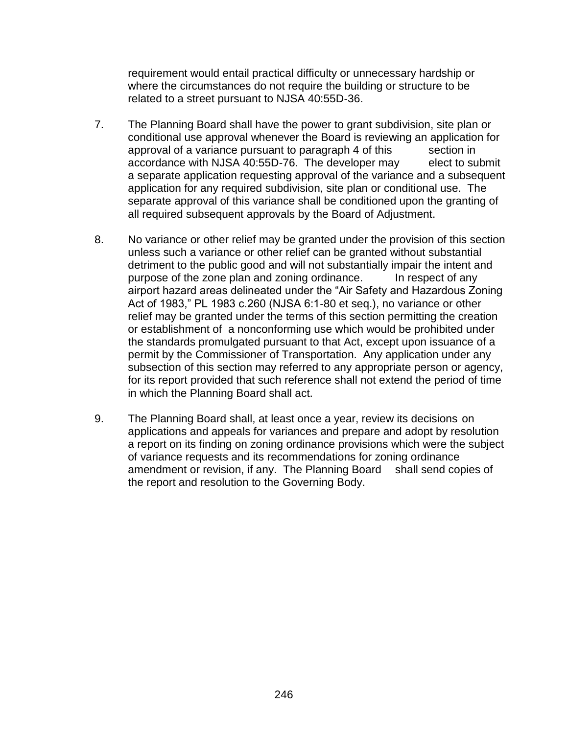requirement would entail practical difficulty or unnecessary hardship or where the circumstances do not require the building or structure to be related to a street pursuant to NJSA 40:55D-36.

- 7. The Planning Board shall have the power to grant subdivision, site plan or conditional use approval whenever the Board is reviewing an application for approval of a variance pursuant to paragraph 4 of this section in accordance with NJSA 40:55D-76. The developer may elect to submit a separate application requesting approval of the variance and a subsequent application for any required subdivision, site plan or conditional use. The separate approval of this variance shall be conditioned upon the granting of all required subsequent approvals by the Board of Adjustment.
- 8. No variance or other relief may be granted under the provision of this section unless such a variance or other relief can be granted without substantial detriment to the public good and will not substantially impair the intent and purpose of the zone plan and zoning ordinance. In respect of any airport hazard areas delineated under the "Air Safety and Hazardous Zoning Act of 1983," PL 1983 c.260 (NJSA 6:1-80 et seq.), no variance or other relief may be granted under the terms of this section permitting the creation or establishment of a nonconforming use which would be prohibited under the standards promulgated pursuant to that Act, except upon issuance of a permit by the Commissioner of Transportation. Any application under any subsection of this section may referred to any appropriate person or agency, for its report provided that such reference shall not extend the period of time in which the Planning Board shall act.
- 9. The Planning Board shall, at least once a year, review its decisions on applications and appeals for variances and prepare and adopt by resolution a report on its finding on zoning ordinance provisions which were the subject of variance requests and its recommendations for zoning ordinance amendment or revision, if any. The Planning Board shall send copies of the report and resolution to the Governing Body.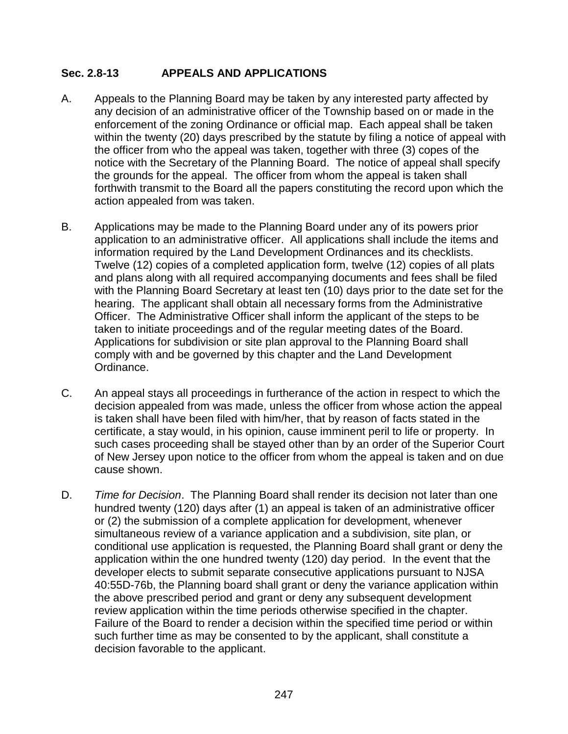# **Sec. 2.8-13 APPEALS AND APPLICATIONS**

- A. Appeals to the Planning Board may be taken by any interested party affected by any decision of an administrative officer of the Township based on or made in the enforcement of the zoning Ordinance or official map. Each appeal shall be taken within the twenty (20) days prescribed by the statute by filing a notice of appeal with the officer from who the appeal was taken, together with three (3) copes of the notice with the Secretary of the Planning Board. The notice of appeal shall specify the grounds for the appeal. The officer from whom the appeal is taken shall forthwith transmit to the Board all the papers constituting the record upon which the action appealed from was taken.
- B. Applications may be made to the Planning Board under any of its powers prior application to an administrative officer. All applications shall include the items and information required by the Land Development Ordinances and its checklists. Twelve (12) copies of a completed application form, twelve (12) copies of all plats and plans along with all required accompanying documents and fees shall be filed with the Planning Board Secretary at least ten (10) days prior to the date set for the hearing. The applicant shall obtain all necessary forms from the Administrative Officer. The Administrative Officer shall inform the applicant of the steps to be taken to initiate proceedings and of the regular meeting dates of the Board. Applications for subdivision or site plan approval to the Planning Board shall comply with and be governed by this chapter and the Land Development Ordinance.
- C. An appeal stays all proceedings in furtherance of the action in respect to which the decision appealed from was made, unless the officer from whose action the appeal is taken shall have been filed with him/her, that by reason of facts stated in the certificate, a stay would, in his opinion, cause imminent peril to life or property. In such cases proceeding shall be stayed other than by an order of the Superior Court of New Jersey upon notice to the officer from whom the appeal is taken and on due cause shown.
- D. *Time for Decision*. The Planning Board shall render its decision not later than one hundred twenty (120) days after (1) an appeal is taken of an administrative officer or (2) the submission of a complete application for development, whenever simultaneous review of a variance application and a subdivision, site plan, or conditional use application is requested, the Planning Board shall grant or deny the application within the one hundred twenty (120) day period. In the event that the developer elects to submit separate consecutive applications pursuant to NJSA 40:55D-76b, the Planning board shall grant or deny the variance application within the above prescribed period and grant or deny any subsequent development review application within the time periods otherwise specified in the chapter. Failure of the Board to render a decision within the specified time period or within such further time as may be consented to by the applicant, shall constitute a decision favorable to the applicant.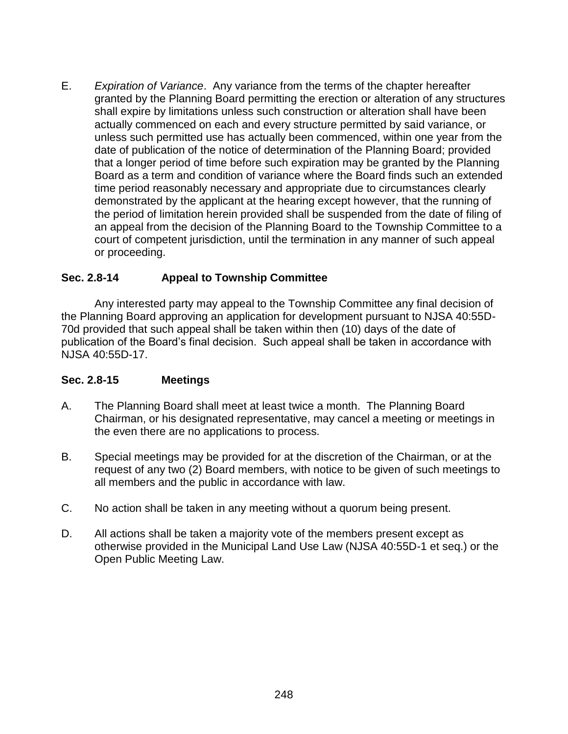E. *Expiration of Variance*. Any variance from the terms of the chapter hereafter granted by the Planning Board permitting the erection or alteration of any structures shall expire by limitations unless such construction or alteration shall have been actually commenced on each and every structure permitted by said variance, or unless such permitted use has actually been commenced, within one year from the date of publication of the notice of determination of the Planning Board; provided that a longer period of time before such expiration may be granted by the Planning Board as a term and condition of variance where the Board finds such an extended time period reasonably necessary and appropriate due to circumstances clearly demonstrated by the applicant at the hearing except however, that the running of the period of limitation herein provided shall be suspended from the date of filing of an appeal from the decision of the Planning Board to the Township Committee to a court of competent jurisdiction, until the termination in any manner of such appeal or proceeding.

# **Sec. 2.8-14 Appeal to Township Committee**

Any interested party may appeal to the Township Committee any final decision of the Planning Board approving an application for development pursuant to NJSA 40:55D-70d provided that such appeal shall be taken within then (10) days of the date of publication of the Board's final decision. Such appeal shall be taken in accordance with NJSA 40:55D-17.

#### **Sec. 2.8-15 Meetings**

- A. The Planning Board shall meet at least twice a month. The Planning Board Chairman, or his designated representative, may cancel a meeting or meetings in the even there are no applications to process.
- B. Special meetings may be provided for at the discretion of the Chairman, or at the request of any two (2) Board members, with notice to be given of such meetings to all members and the public in accordance with law.
- C. No action shall be taken in any meeting without a quorum being present.
- D. All actions shall be taken a majority vote of the members present except as otherwise provided in the Municipal Land Use Law (NJSA 40:55D-1 et seq.) or the Open Public Meeting Law.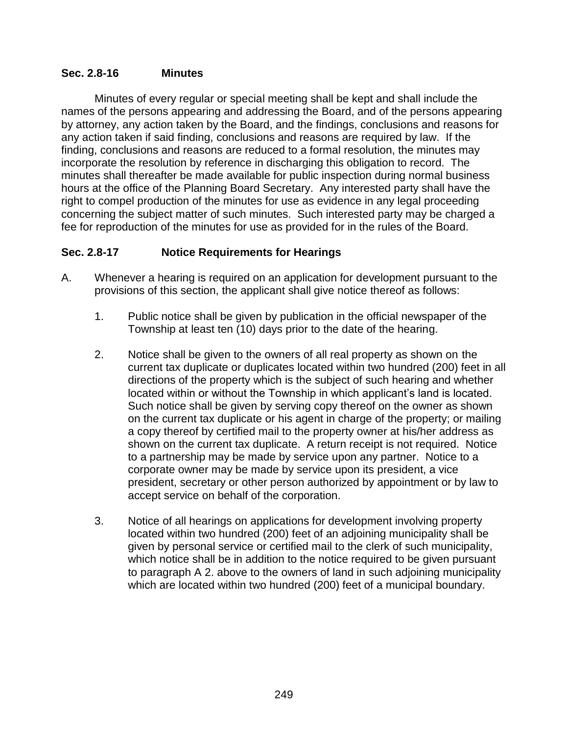### **Sec. 2.8-16 Minutes**

Minutes of every regular or special meeting shall be kept and shall include the names of the persons appearing and addressing the Board, and of the persons appearing by attorney, any action taken by the Board, and the findings, conclusions and reasons for any action taken if said finding, conclusions and reasons are required by law. If the finding, conclusions and reasons are reduced to a formal resolution, the minutes may incorporate the resolution by reference in discharging this obligation to record. The minutes shall thereafter be made available for public inspection during normal business hours at the office of the Planning Board Secretary. Any interested party shall have the right to compel production of the minutes for use as evidence in any legal proceeding concerning the subject matter of such minutes. Such interested party may be charged a fee for reproduction of the minutes for use as provided for in the rules of the Board.

### **Sec. 2.8-17 Notice Requirements for Hearings**

- A. Whenever a hearing is required on an application for development pursuant to the provisions of this section, the applicant shall give notice thereof as follows:
	- 1. Public notice shall be given by publication in the official newspaper of the Township at least ten (10) days prior to the date of the hearing.
	- 2. Notice shall be given to the owners of all real property as shown on the current tax duplicate or duplicates located within two hundred (200) feet in all directions of the property which is the subject of such hearing and whether located within or without the Township in which applicant's land is located. Such notice shall be given by serving copy thereof on the owner as shown on the current tax duplicate or his agent in charge of the property; or mailing a copy thereof by certified mail to the property owner at his/her address as shown on the current tax duplicate. A return receipt is not required. Notice to a partnership may be made by service upon any partner. Notice to a corporate owner may be made by service upon its president, a vice president, secretary or other person authorized by appointment or by law to accept service on behalf of the corporation.
	- 3. Notice of all hearings on applications for development involving property located within two hundred (200) feet of an adjoining municipality shall be given by personal service or certified mail to the clerk of such municipality, which notice shall be in addition to the notice required to be given pursuant to paragraph A 2. above to the owners of land in such adjoining municipality which are located within two hundred (200) feet of a municipal boundary.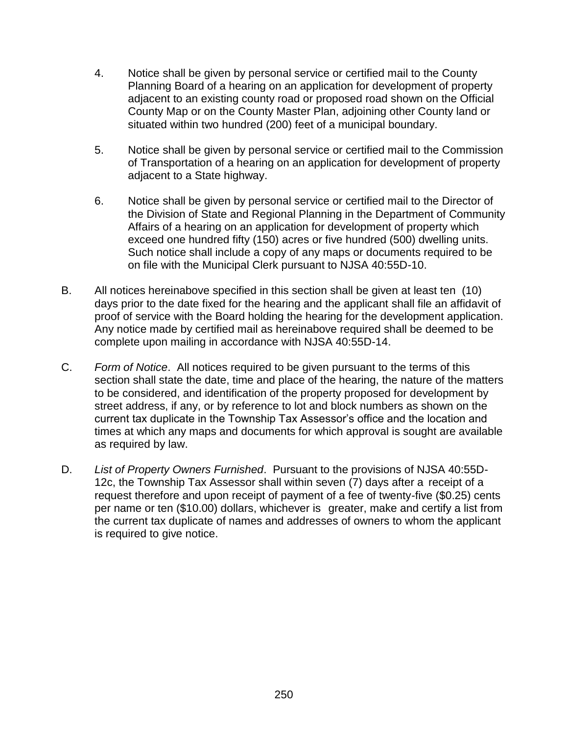- 4. Notice shall be given by personal service or certified mail to the County Planning Board of a hearing on an application for development of property adjacent to an existing county road or proposed road shown on the Official County Map or on the County Master Plan, adjoining other County land or situated within two hundred (200) feet of a municipal boundary.
- 5. Notice shall be given by personal service or certified mail to the Commission of Transportation of a hearing on an application for development of property adjacent to a State highway.
- 6. Notice shall be given by personal service or certified mail to the Director of the Division of State and Regional Planning in the Department of Community Affairs of a hearing on an application for development of property which exceed one hundred fifty (150) acres or five hundred (500) dwelling units. Such notice shall include a copy of any maps or documents required to be on file with the Municipal Clerk pursuant to NJSA 40:55D-10.
- B. All notices hereinabove specified in this section shall be given at least ten (10) days prior to the date fixed for the hearing and the applicant shall file an affidavit of proof of service with the Board holding the hearing for the development application. Any notice made by certified mail as hereinabove required shall be deemed to be complete upon mailing in accordance with NJSA 40:55D-14.
- C. *Form of Notice*. All notices required to be given pursuant to the terms of this section shall state the date, time and place of the hearing, the nature of the matters to be considered, and identification of the property proposed for development by street address, if any, or by reference to lot and block numbers as shown on the current tax duplicate in the Township Tax Assessor's office and the location and times at which any maps and documents for which approval is sought are available as required by law.
- D. *List of Property Owners Furnished*. Pursuant to the provisions of NJSA 40:55D-12c, the Township Tax Assessor shall within seven (7) days after a receipt of a request therefore and upon receipt of payment of a fee of twenty-five (\$0.25) cents per name or ten (\$10.00) dollars, whichever is greater, make and certify a list from the current tax duplicate of names and addresses of owners to whom the applicant is required to give notice.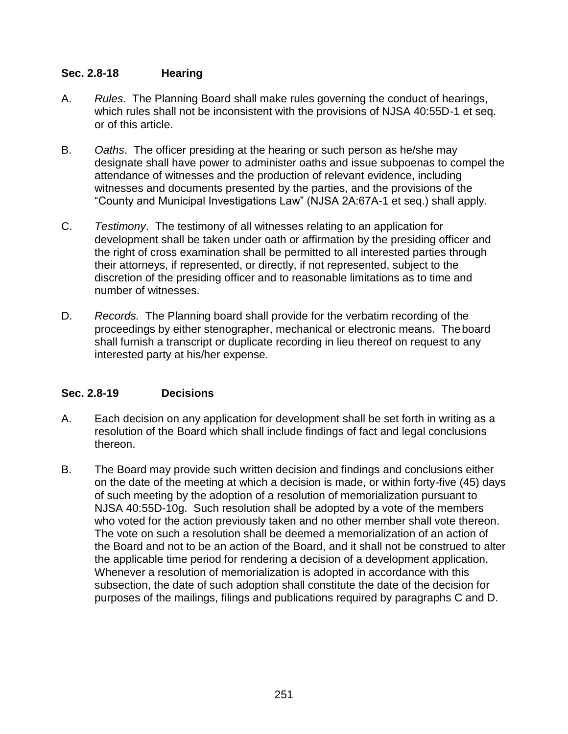# **Sec. 2.8-18 Hearing**

- A. *Rules*. The Planning Board shall make rules governing the conduct of hearings, which rules shall not be inconsistent with the provisions of NJSA 40:55D-1 et seq. or of this article.
- B. *Oaths*. The officer presiding at the hearing or such person as he/she may designate shall have power to administer oaths and issue subpoenas to compel the attendance of witnesses and the production of relevant evidence, including witnesses and documents presented by the parties, and the provisions of the "County and Municipal Investigations Law" (NJSA 2A:67A-1 et seq.) shall apply.
- C. *Testimony*. The testimony of all witnesses relating to an application for development shall be taken under oath or affirmation by the presiding officer and the right of cross examination shall be permitted to all interested parties through their attorneys, if represented, or directly, if not represented, subject to the discretion of the presiding officer and to reasonable limitations as to time and number of witnesses.
- D. *Records.* The Planning board shall provide for the verbatim recording of the proceedings by either stenographer, mechanical or electronic means. Theboard shall furnish a transcript or duplicate recording in lieu thereof on request to any interested party at his/her expense.

# **Sec. 2.8-19 Decisions**

- A. Each decision on any application for development shall be set forth in writing as a resolution of the Board which shall include findings of fact and legal conclusions thereon.
- B. The Board may provide such written decision and findings and conclusions either on the date of the meeting at which a decision is made, or within forty-five (45) days of such meeting by the adoption of a resolution of memorialization pursuant to NJSA 40:55D-10g. Such resolution shall be adopted by a vote of the members who voted for the action previously taken and no other member shall vote thereon. The vote on such a resolution shall be deemed a memorialization of an action of the Board and not to be an action of the Board, and it shall not be construed to alter the applicable time period for rendering a decision of a development application. Whenever a resolution of memorialization is adopted in accordance with this subsection, the date of such adoption shall constitute the date of the decision for purposes of the mailings, filings and publications required by paragraphs C and D.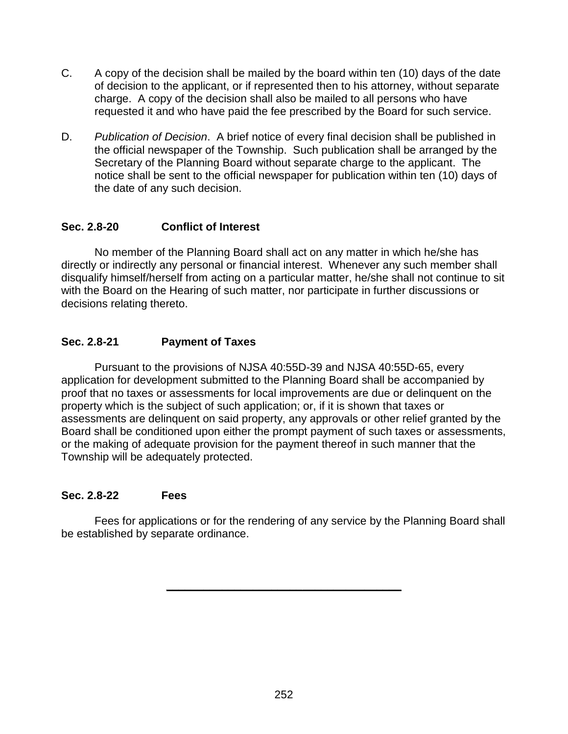- C. A copy of the decision shall be mailed by the board within ten (10) days of the date of decision to the applicant, or if represented then to his attorney, without separate charge. A copy of the decision shall also be mailed to all persons who have requested it and who have paid the fee prescribed by the Board for such service.
- D. *Publication of Decision*. A brief notice of every final decision shall be published in the official newspaper of the Township. Such publication shall be arranged by the Secretary of the Planning Board without separate charge to the applicant. The notice shall be sent to the official newspaper for publication within ten (10) days of the date of any such decision.

# **Sec. 2.8-20 Conflict of Interest**

No member of the Planning Board shall act on any matter in which he/she has directly or indirectly any personal or financial interest. Whenever any such member shall disqualify himself/herself from acting on a particular matter, he/she shall not continue to sit with the Board on the Hearing of such matter, nor participate in further discussions or decisions relating thereto.

### **Sec. 2.8-21 Payment of Taxes**

Pursuant to the provisions of NJSA 40:55D-39 and NJSA 40:55D-65, every application for development submitted to the Planning Board shall be accompanied by proof that no taxes or assessments for local improvements are due or delinquent on the property which is the subject of such application; or, if it is shown that taxes or assessments are delinquent on said property, any approvals or other relief granted by the Board shall be conditioned upon either the prompt payment of such taxes or assessments, or the making of adequate provision for the payment thereof in such manner that the Township will be adequately protected.

# **Sec. 2.8-22 Fees**

Fees for applications or for the rendering of any service by the Planning Board shall be established by separate ordinance.

**\_\_\_\_\_\_\_\_\_\_\_\_\_\_\_\_\_\_\_\_\_\_\_\_\_\_\_\_\_\_\_\_\_\_\_\_\_\_**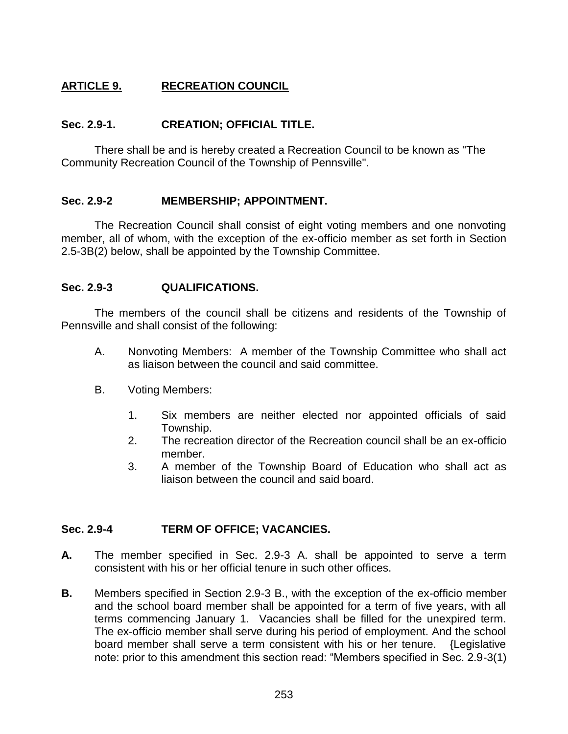# **ARTICLE 9. RECREATION COUNCIL**

# **Sec. 2.9-1. CREATION; OFFICIAL TITLE.**

There shall be and is hereby created a Recreation Council to be known as "The Community Recreation Council of the Township of Pennsville".

### **Sec. 2.9-2 MEMBERSHIP; APPOINTMENT.**

The Recreation Council shall consist of eight voting members and one nonvoting member, all of whom, with the exception of the ex-officio member as set forth in Section 2.5-3B(2) below, shall be appointed by the Township Committee.

### **Sec. 2.9-3 QUALIFICATIONS.**

The members of the council shall be citizens and residents of the Township of Pennsville and shall consist of the following:

- A. Nonvoting Members: A member of the Township Committee who shall act as liaison between the council and said committee.
- B. Voting Members:
	- 1. Six members are neither elected nor appointed officials of said Township.
	- 2. The recreation director of the Recreation council shall be an ex-officio member.
	- 3. A member of the Township Board of Education who shall act as liaison between the council and said board.

# **Sec. 2.9-4 TERM OF OFFICE; VACANCIES.**

- **A.** The member specified in Sec. 2.9-3 A. shall be appointed to serve a term consistent with his or her official tenure in such other offices.
- **B.** Members specified in Section 2.9-3 B., with the exception of the ex-officio member and the school board member shall be appointed for a term of five years, with all terms commencing January 1. Vacancies shall be filled for the unexpired term. The ex-officio member shall serve during his period of employment. And the school board member shall serve a term consistent with his or her tenure. {Legislative note: prior to this amendment this section read: "Members specified in Sec. 2.9-3(1)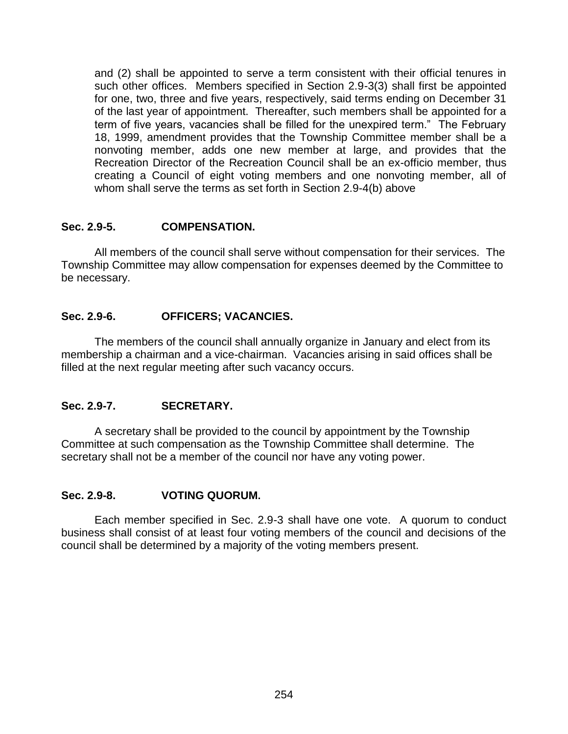and (2) shall be appointed to serve a term consistent with their official tenures in such other offices. Members specified in Section 2.9-3(3) shall first be appointed for one, two, three and five years, respectively, said terms ending on December 31 of the last year of appointment. Thereafter, such members shall be appointed for a term of five years, vacancies shall be filled for the unexpired term." The February 18, 1999, amendment provides that the Township Committee member shall be a nonvoting member, adds one new member at large, and provides that the Recreation Director of the Recreation Council shall be an ex-officio member, thus creating a Council of eight voting members and one nonvoting member, all of whom shall serve the terms as set forth in Section 2.9-4(b) above

### **Sec. 2.9-5. COMPENSATION.**

All members of the council shall serve without compensation for their services. The Township Committee may allow compensation for expenses deemed by the Committee to be necessary.

### **Sec. 2.9-6. OFFICERS; VACANCIES.**

The members of the council shall annually organize in January and elect from its membership a chairman and a vice-chairman. Vacancies arising in said offices shall be filled at the next regular meeting after such vacancy occurs.

# **Sec. 2.9-7. SECRETARY.**

A secretary shall be provided to the council by appointment by the Township Committee at such compensation as the Township Committee shall determine. The secretary shall not be a member of the council nor have any voting power.

# **Sec. 2.9-8. VOTING QUORUM.**

Each member specified in Sec. 2.9-3 shall have one vote. A quorum to conduct business shall consist of at least four voting members of the council and decisions of the council shall be determined by a majority of the voting members present.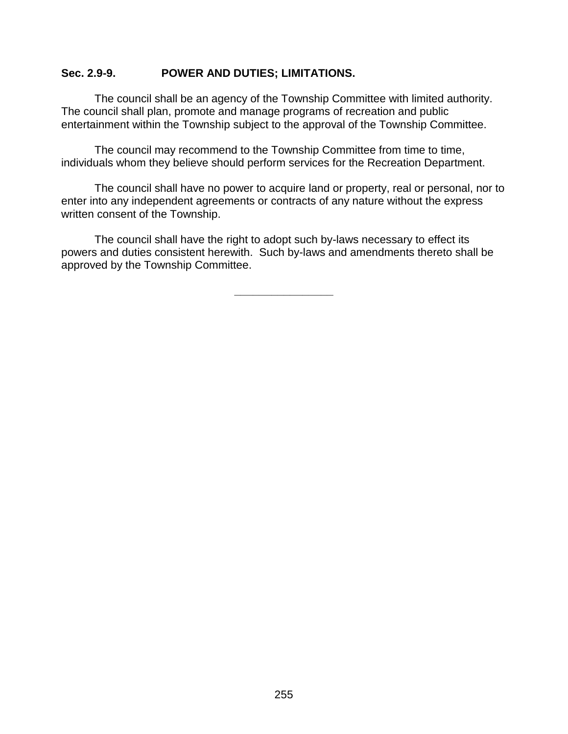#### **Sec. 2.9-9. POWER AND DUTIES; LIMITATIONS.**

The council shall be an agency of the Township Committee with limited authority. The council shall plan, promote and manage programs of recreation and public entertainment within the Township subject to the approval of the Township Committee.

The council may recommend to the Township Committee from time to time, individuals whom they believe should perform services for the Recreation Department.

The council shall have no power to acquire land or property, real or personal, nor to enter into any independent agreements or contracts of any nature without the express written consent of the Township.

The council shall have the right to adopt such by-laws necessary to effect its powers and duties consistent herewith. Such by-laws and amendments thereto shall be approved by the Township Committee.

**\_\_\_\_\_\_\_\_\_\_\_\_\_\_\_\_**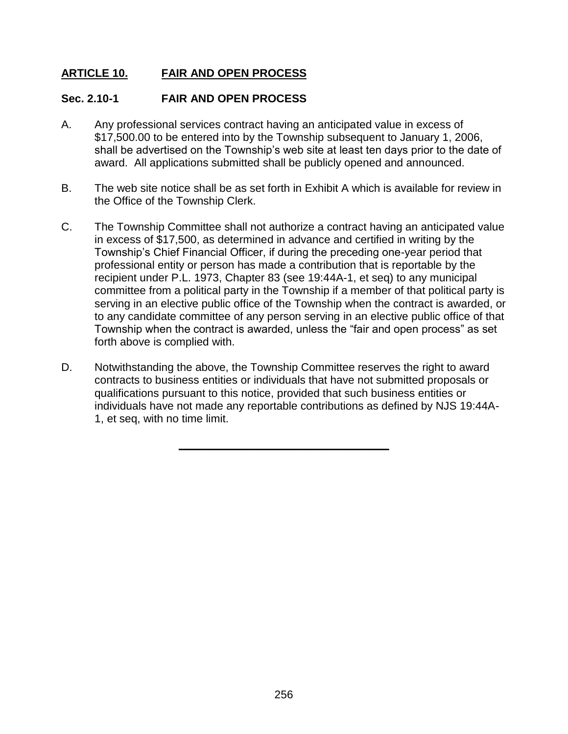# **ARTICLE 10. FAIR AND OPEN PROCESS**

### **Sec. 2.10-1 FAIR AND OPEN PROCESS**

- A. Any professional services contract having an anticipated value in excess of \$17,500.00 to be entered into by the Township subsequent to January 1, 2006, shall be advertised on the Township's web site at least ten days prior to the date of award. All applications submitted shall be publicly opened and announced.
- B. The web site notice shall be as set forth in Exhibit A which is available for review in the Office of the Township Clerk.
- C. The Township Committee shall not authorize a contract having an anticipated value in excess of \$17,500, as determined in advance and certified in writing by the Township's Chief Financial Officer, if during the preceding one-year period that professional entity or person has made a contribution that is reportable by the recipient under P.L. 1973, Chapter 83 (see 19:44A-1, et seq) to any municipal committee from a political party in the Township if a member of that political party is serving in an elective public office of the Township when the contract is awarded, or to any candidate committee of any person serving in an elective public office of that Township when the contract is awarded, unless the "fair and open process" as set forth above is complied with.
- D. Notwithstanding the above, the Township Committee reserves the right to award contracts to business entities or individuals that have not submitted proposals or qualifications pursuant to this notice, provided that such business entities or individuals have not made any reportable contributions as defined by NJS 19:44A-1, et seq, with no time limit.

**\_\_\_\_\_\_\_\_\_\_\_\_\_\_\_\_\_\_\_\_\_\_\_\_\_\_\_\_\_\_\_\_\_\_**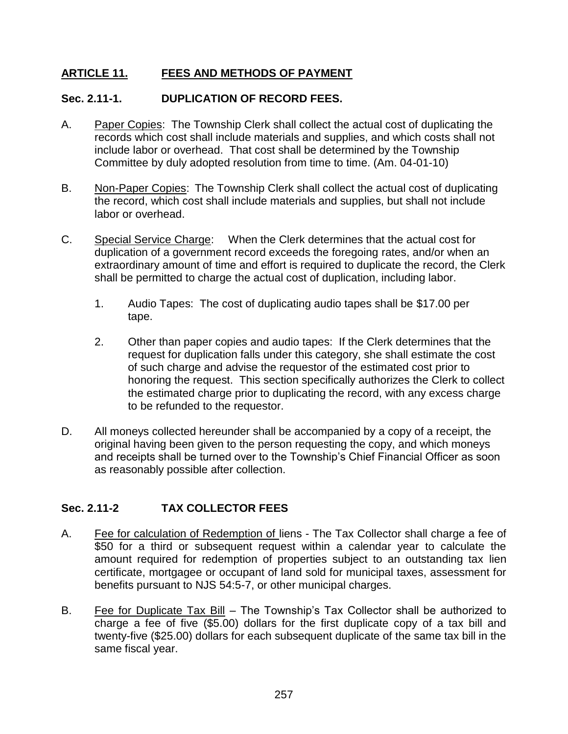# **ARTICLE 11. FEES AND METHODS OF PAYMENT**

# **Sec. 2.11-1. DUPLICATION OF RECORD FEES.**

- A. Paper Copies: The Township Clerk shall collect the actual cost of duplicating the records which cost shall include materials and supplies, and which costs shall not include labor or overhead. That cost shall be determined by the Township Committee by duly adopted resolution from time to time. (Am. 04-01-10)
- B. Non-Paper Copies: The Township Clerk shall collect the actual cost of duplicating the record, which cost shall include materials and supplies, but shall not include labor or overhead.
- C. Special Service Charge: When the Clerk determines that the actual cost for duplication of a government record exceeds the foregoing rates, and/or when an extraordinary amount of time and effort is required to duplicate the record, the Clerk shall be permitted to charge the actual cost of duplication, including labor.
	- 1. Audio Tapes: The cost of duplicating audio tapes shall be \$17.00 per tape.
	- 2. Other than paper copies and audio tapes: If the Clerk determines that the request for duplication falls under this category, she shall estimate the cost of such charge and advise the requestor of the estimated cost prior to honoring the request. This section specifically authorizes the Clerk to collect the estimated charge prior to duplicating the record, with any excess charge to be refunded to the requestor.
- D. All moneys collected hereunder shall be accompanied by a copy of a receipt, the original having been given to the person requesting the copy, and which moneys and receipts shall be turned over to the Township's Chief Financial Officer as soon as reasonably possible after collection.

# **Sec. 2.11-2 TAX COLLECTOR FEES**

- A. Fee for calculation of Redemption of liens The Tax Collector shall charge a fee of \$50 for a third or subsequent request within a calendar year to calculate the amount required for redemption of properties subject to an outstanding tax lien certificate, mortgagee or occupant of land sold for municipal taxes, assessment for benefits pursuant to NJS 54:5-7, or other municipal charges.
- B. Fee for Duplicate Tax Bill The Township's Tax Collector shall be authorized to charge a fee of five (\$5.00) dollars for the first duplicate copy of a tax bill and twenty-five (\$25.00) dollars for each subsequent duplicate of the same tax bill in the same fiscal year.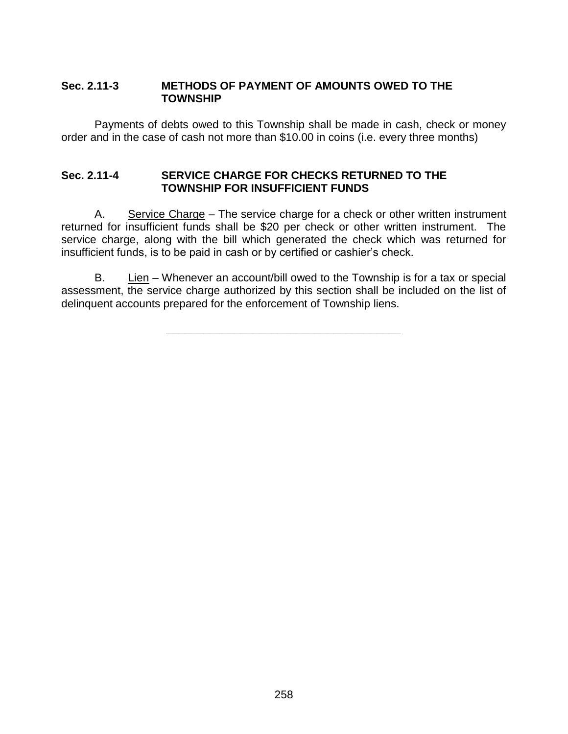### **Sec. 2.11-3 METHODS OF PAYMENT OF AMOUNTS OWED TO THE TOWNSHIP**

Payments of debts owed to this Township shall be made in cash, check or money order and in the case of cash not more than \$10.00 in coins (i.e. every three months)

#### **Sec. 2.11-4 SERVICE CHARGE FOR CHECKS RETURNED TO THE TOWNSHIP FOR INSUFFICIENT FUNDS**

A. Service Charge – The service charge for a check or other written instrument returned for insufficient funds shall be \$20 per check or other written instrument. The service charge, along with the bill which generated the check which was returned for insufficient funds, is to be paid in cash or by certified or cashier's check.

B. Lien – Whenever an account/bill owed to the Township is for a tax or special assessment, the service charge authorized by this section shall be included on the list of delinquent accounts prepared for the enforcement of Township liens.

**\_\_\_\_\_\_\_\_\_\_\_\_\_\_\_\_\_\_\_\_\_\_\_\_\_\_\_\_\_\_\_\_\_\_\_\_\_\_**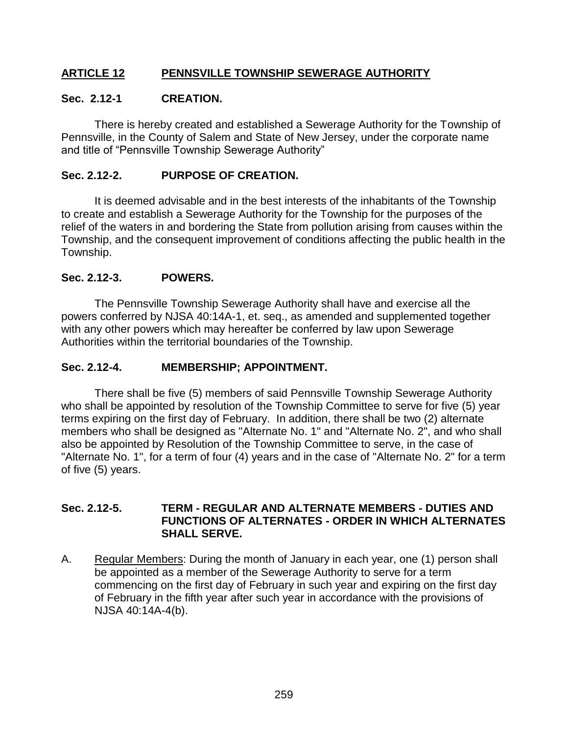# **ARTICLE 12 PENNSVILLE TOWNSHIP SEWERAGE AUTHORITY**

#### **Sec. 2.12-1 CREATION.**

There is hereby created and established a Sewerage Authority for the Township of Pennsville, in the County of Salem and State of New Jersey, under the corporate name and title of "Pennsville Township Sewerage Authority"

#### **Sec. 2.12-2. PURPOSE OF CREATION.**

It is deemed advisable and in the best interests of the inhabitants of the Township to create and establish a Sewerage Authority for the Township for the purposes of the relief of the waters in and bordering the State from pollution arising from causes within the Township, and the consequent improvement of conditions affecting the public health in the Township.

#### **Sec. 2.12-3. POWERS.**

The Pennsville Township Sewerage Authority shall have and exercise all the powers conferred by NJSA 40:14A-1, et. seq., as amended and supplemented together with any other powers which may hereafter be conferred by law upon Sewerage Authorities within the territorial boundaries of the Township.

#### **Sec. 2.12-4. MEMBERSHIP; APPOINTMENT.**

There shall be five (5) members of said Pennsville Township Sewerage Authority who shall be appointed by resolution of the Township Committee to serve for five (5) year terms expiring on the first day of February. In addition, there shall be two (2) alternate members who shall be designed as "Alternate No. 1" and "Alternate No. 2", and who shall also be appointed by Resolution of the Township Committee to serve, in the case of "Alternate No. 1", for a term of four (4) years and in the case of "Alternate No. 2" for a term of five (5) years.

#### **Sec. 2.12-5. TERM - REGULAR AND ALTERNATE MEMBERS - DUTIES AND FUNCTIONS OF ALTERNATES - ORDER IN WHICH ALTERNATES SHALL SERVE.**

A. Regular Members: During the month of January in each year, one (1) person shall be appointed as a member of the Sewerage Authority to serve for a term commencing on the first day of February in such year and expiring on the first day of February in the fifth year after such year in accordance with the provisions of NJSA 40:14A-4(b).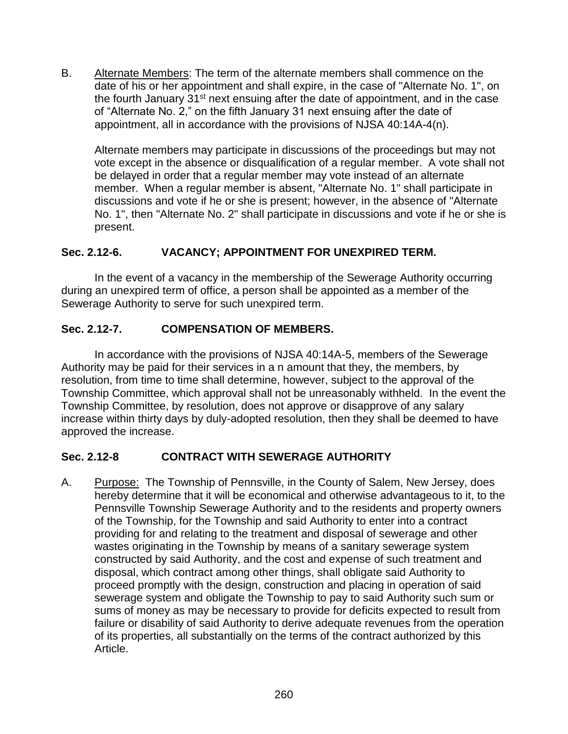B. Alternate Members: The term of the alternate members shall commence on the date of his or her appointment and shall expire, in the case of "Alternate No. 1", on the fourth January 31<sup>st</sup> next ensuing after the date of appointment, and in the case of "Alternate No. 2," on the fifth January 31 next ensuing after the date of appointment, all in accordance with the provisions of NJSA 40:14A-4(n).

Alternate members may participate in discussions of the proceedings but may not vote except in the absence or disqualification of a regular member. A vote shall not be delayed in order that a regular member may vote instead of an alternate member. When a regular member is absent, "Alternate No. 1" shall participate in discussions and vote if he or she is present; however, in the absence of "Alternate No. 1", then "Alternate No. 2" shall participate in discussions and vote if he or she is present.

# **Sec. 2.12-6. VACANCY; APPOINTMENT FOR UNEXPIRED TERM.**

In the event of a vacancy in the membership of the Sewerage Authority occurring during an unexpired term of office, a person shall be appointed as a member of the Sewerage Authority to serve for such unexpired term.

### **Sec. 2.12-7. COMPENSATION OF MEMBERS.**

In accordance with the provisions of NJSA 40:14A-5, members of the Sewerage Authority may be paid for their services in a n amount that they, the members, by resolution, from time to time shall determine, however, subject to the approval of the Township Committee, which approval shall not be unreasonably withheld. In the event the Township Committee, by resolution, does not approve or disapprove of any salary increase within thirty days by duly-adopted resolution, then they shall be deemed to have approved the increase.

#### **Sec. 2.12-8 CONTRACT WITH SEWERAGE AUTHORITY**

A. Purpose: The Township of Pennsville, in the County of Salem, New Jersey, does hereby determine that it will be economical and otherwise advantageous to it, to the Pennsville Township Sewerage Authority and to the residents and property owners of the Township, for the Township and said Authority to enter into a contract providing for and relating to the treatment and disposal of sewerage and other wastes originating in the Township by means of a sanitary sewerage system constructed by said Authority, and the cost and expense of such treatment and disposal, which contract among other things, shall obligate said Authority to proceed promptly with the design, construction and placing in operation of said sewerage system and obligate the Township to pay to said Authority such sum or sums of money as may be necessary to provide for deficits expected to result from failure or disability of said Authority to derive adequate revenues from the operation of its properties, all substantially on the terms of the contract authorized by this Article.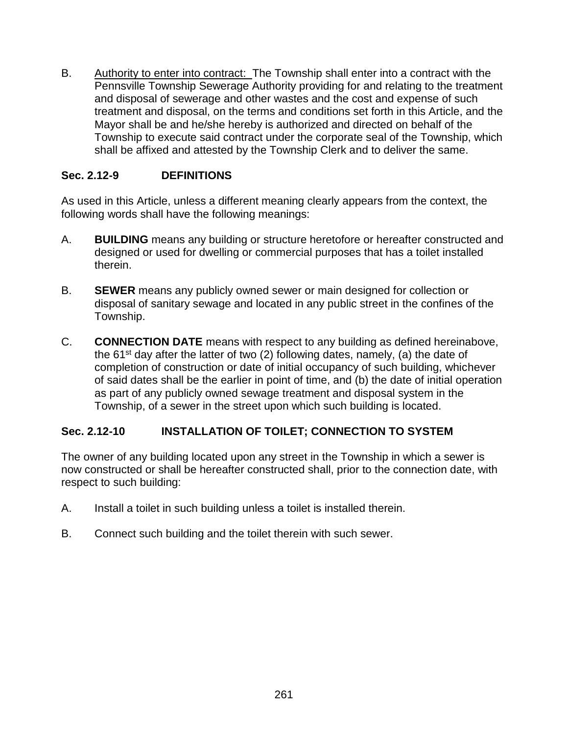B. Authority to enter into contract: The Township shall enter into a contract with the Pennsville Township Sewerage Authority providing for and relating to the treatment and disposal of sewerage and other wastes and the cost and expense of such treatment and disposal, on the terms and conditions set forth in this Article, and the Mayor shall be and he/she hereby is authorized and directed on behalf of the Township to execute said contract under the corporate seal of the Township, which shall be affixed and attested by the Township Clerk and to deliver the same.

# **Sec. 2.12-9 DEFINITIONS**

As used in this Article, unless a different meaning clearly appears from the context, the following words shall have the following meanings:

- A. **BUILDING** means any building or structure heretofore or hereafter constructed and designed or used for dwelling or commercial purposes that has a toilet installed therein.
- B. **SEWER** means any publicly owned sewer or main designed for collection or disposal of sanitary sewage and located in any public street in the confines of the Township.
- C. **CONNECTION DATE** means with respect to any building as defined hereinabove, the  $61<sup>st</sup>$  day after the latter of two (2) following dates, namely, (a) the date of completion of construction or date of initial occupancy of such building, whichever of said dates shall be the earlier in point of time, and (b) the date of initial operation as part of any publicly owned sewage treatment and disposal system in the Township, of a sewer in the street upon which such building is located.

# **Sec. 2.12-10 INSTALLATION OF TOILET; CONNECTION TO SYSTEM**

The owner of any building located upon any street in the Township in which a sewer is now constructed or shall be hereafter constructed shall, prior to the connection date, with respect to such building:

- A. Install a toilet in such building unless a toilet is installed therein.
- B. Connect such building and the toilet therein with such sewer.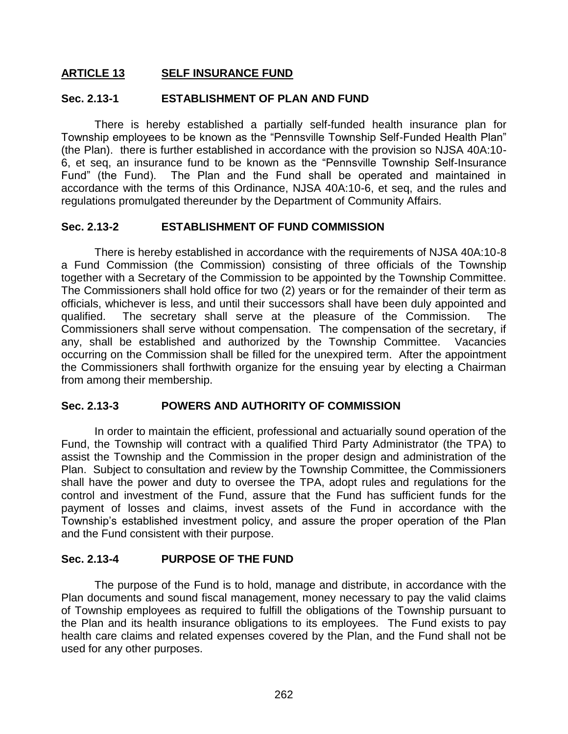#### **ARTICLE 13 SELF INSURANCE FUND**

#### **Sec. 2.13-1 ESTABLISHMENT OF PLAN AND FUND**

There is hereby established a partially self-funded health insurance plan for Township employees to be known as the "Pennsville Township Self-Funded Health Plan" (the Plan). there is further established in accordance with the provision so NJSA 40A:10- 6, et seq, an insurance fund to be known as the "Pennsville Township Self-Insurance Fund" (the Fund). The Plan and the Fund shall be operated and maintained in accordance with the terms of this Ordinance, NJSA 40A:10-6, et seq, and the rules and regulations promulgated thereunder by the Department of Community Affairs.

#### **Sec. 2.13-2 ESTABLISHMENT OF FUND COMMISSION**

There is hereby established in accordance with the requirements of NJSA 40A:10-8 a Fund Commission (the Commission) consisting of three officials of the Township together with a Secretary of the Commission to be appointed by the Township Committee. The Commissioners shall hold office for two (2) years or for the remainder of their term as officials, whichever is less, and until their successors shall have been duly appointed and qualified. The secretary shall serve at the pleasure of the Commission. The Commissioners shall serve without compensation. The compensation of the secretary, if any, shall be established and authorized by the Township Committee. Vacancies occurring on the Commission shall be filled for the unexpired term. After the appointment the Commissioners shall forthwith organize for the ensuing year by electing a Chairman from among their membership.

#### **Sec. 2.13-3 POWERS AND AUTHORITY OF COMMISSION**

In order to maintain the efficient, professional and actuarially sound operation of the Fund, the Township will contract with a qualified Third Party Administrator (the TPA) to assist the Township and the Commission in the proper design and administration of the Plan. Subject to consultation and review by the Township Committee, the Commissioners shall have the power and duty to oversee the TPA, adopt rules and regulations for the control and investment of the Fund, assure that the Fund has sufficient funds for the payment of losses and claims, invest assets of the Fund in accordance with the Township's established investment policy, and assure the proper operation of the Plan and the Fund consistent with their purpose.

#### **Sec. 2.13-4 PURPOSE OF THE FUND**

The purpose of the Fund is to hold, manage and distribute, in accordance with the Plan documents and sound fiscal management, money necessary to pay the valid claims of Township employees as required to fulfill the obligations of the Township pursuant to the Plan and its health insurance obligations to its employees. The Fund exists to pay health care claims and related expenses covered by the Plan, and the Fund shall not be used for any other purposes.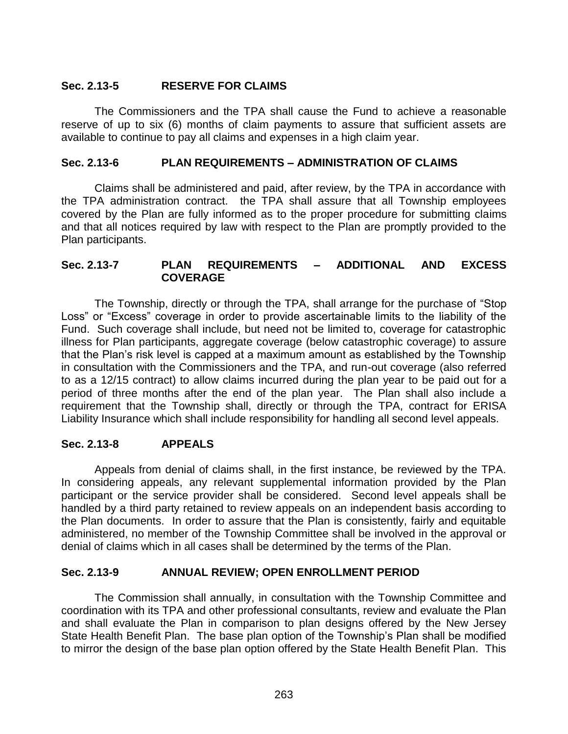# **Sec. 2.13-5 RESERVE FOR CLAIMS**

The Commissioners and the TPA shall cause the Fund to achieve a reasonable reserve of up to six (6) months of claim payments to assure that sufficient assets are available to continue to pay all claims and expenses in a high claim year.

### **Sec. 2.13-6 PLAN REQUIREMENTS – ADMINISTRATION OF CLAIMS**

Claims shall be administered and paid, after review, by the TPA in accordance with the TPA administration contract. the TPA shall assure that all Township employees covered by the Plan are fully informed as to the proper procedure for submitting claims and that all notices required by law with respect to the Plan are promptly provided to the Plan participants.

### **Sec. 2.13-7 PLAN REQUIREMENTS – ADDITIONAL AND EXCESS COVERAGE**

The Township, directly or through the TPA, shall arrange for the purchase of "Stop Loss" or "Excess" coverage in order to provide ascertainable limits to the liability of the Fund. Such coverage shall include, but need not be limited to, coverage for catastrophic illness for Plan participants, aggregate coverage (below catastrophic coverage) to assure that the Plan's risk level is capped at a maximum amount as established by the Township in consultation with the Commissioners and the TPA, and run-out coverage (also referred to as a 12/15 contract) to allow claims incurred during the plan year to be paid out for a period of three months after the end of the plan year. The Plan shall also include a requirement that the Township shall, directly or through the TPA, contract for ERISA Liability Insurance which shall include responsibility for handling all second level appeals.

# **Sec. 2.13-8 APPEALS**

Appeals from denial of claims shall, in the first instance, be reviewed by the TPA. In considering appeals, any relevant supplemental information provided by the Plan participant or the service provider shall be considered. Second level appeals shall be handled by a third party retained to review appeals on an independent basis according to the Plan documents. In order to assure that the Plan is consistently, fairly and equitable administered, no member of the Township Committee shall be involved in the approval or denial of claims which in all cases shall be determined by the terms of the Plan.

# **Sec. 2.13-9 ANNUAL REVIEW; OPEN ENROLLMENT PERIOD**

The Commission shall annually, in consultation with the Township Committee and coordination with its TPA and other professional consultants, review and evaluate the Plan and shall evaluate the Plan in comparison to plan designs offered by the New Jersey State Health Benefit Plan. The base plan option of the Township's Plan shall be modified to mirror the design of the base plan option offered by the State Health Benefit Plan. This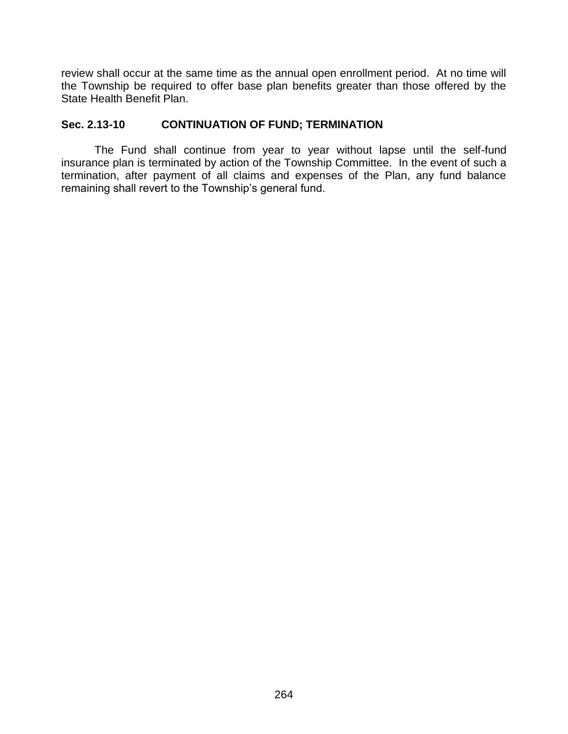review shall occur at the same time as the annual open enrollment period. At no time will the Township be required to offer base plan benefits greater than those offered by the State Health Benefit Plan.

# **Sec. 2.13-10 CONTINUATION OF FUND; TERMINATION**

The Fund shall continue from year to year without lapse until the self-fund insurance plan is terminated by action of the Township Committee. In the event of such a termination, after payment of all claims and expenses of the Plan, any fund balance remaining shall revert to the Township's general fund.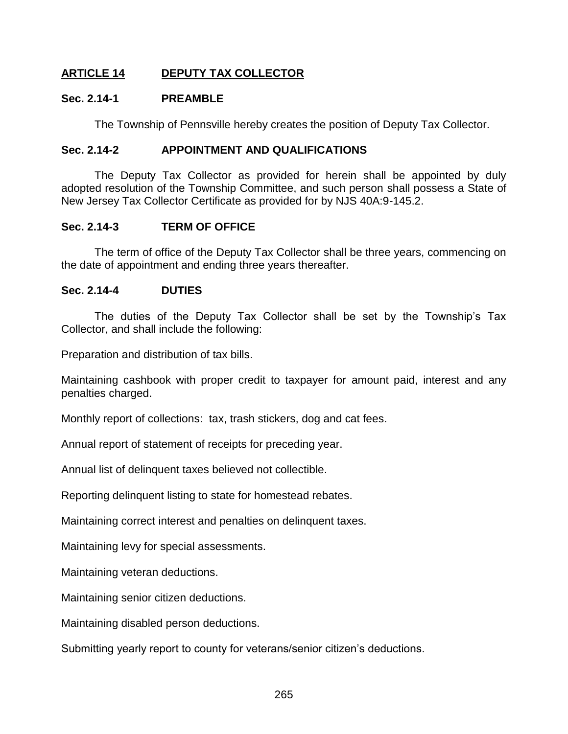# **ARTICLE 14 DEPUTY TAX COLLECTOR**

#### **Sec. 2.14-1 PREAMBLE**

The Township of Pennsville hereby creates the position of Deputy Tax Collector.

#### **Sec. 2.14-2 APPOINTMENT AND QUALIFICATIONS**

The Deputy Tax Collector as provided for herein shall be appointed by duly adopted resolution of the Township Committee, and such person shall possess a State of New Jersey Tax Collector Certificate as provided for by NJS 40A:9-145.2.

#### **Sec. 2.14-3 TERM OF OFFICE**

The term of office of the Deputy Tax Collector shall be three years, commencing on the date of appointment and ending three years thereafter.

#### **Sec. 2.14-4 DUTIES**

The duties of the Deputy Tax Collector shall be set by the Township's Tax Collector, and shall include the following:

Preparation and distribution of tax bills.

Maintaining cashbook with proper credit to taxpayer for amount paid, interest and any penalties charged.

Monthly report of collections: tax, trash stickers, dog and cat fees.

Annual report of statement of receipts for preceding year.

Annual list of delinquent taxes believed not collectible.

Reporting delinquent listing to state for homestead rebates.

Maintaining correct interest and penalties on delinquent taxes.

Maintaining levy for special assessments.

Maintaining veteran deductions.

Maintaining senior citizen deductions.

Maintaining disabled person deductions.

Submitting yearly report to county for veterans/senior citizen's deductions.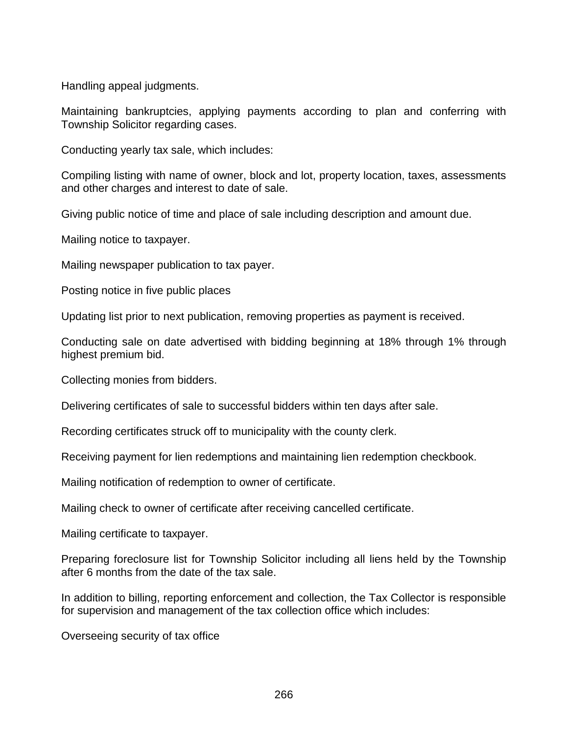Handling appeal judgments.

Maintaining bankruptcies, applying payments according to plan and conferring with Township Solicitor regarding cases.

Conducting yearly tax sale, which includes:

Compiling listing with name of owner, block and lot, property location, taxes, assessments and other charges and interest to date of sale.

Giving public notice of time and place of sale including description and amount due.

Mailing notice to taxpayer.

Mailing newspaper publication to tax payer.

Posting notice in five public places

Updating list prior to next publication, removing properties as payment is received.

Conducting sale on date advertised with bidding beginning at 18% through 1% through highest premium bid.

Collecting monies from bidders.

Delivering certificates of sale to successful bidders within ten days after sale.

Recording certificates struck off to municipality with the county clerk.

Receiving payment for lien redemptions and maintaining lien redemption checkbook.

Mailing notification of redemption to owner of certificate.

Mailing check to owner of certificate after receiving cancelled certificate.

Mailing certificate to taxpayer.

Preparing foreclosure list for Township Solicitor including all liens held by the Township after 6 months from the date of the tax sale.

In addition to billing, reporting enforcement and collection, the Tax Collector is responsible for supervision and management of the tax collection office which includes:

Overseeing security of tax office